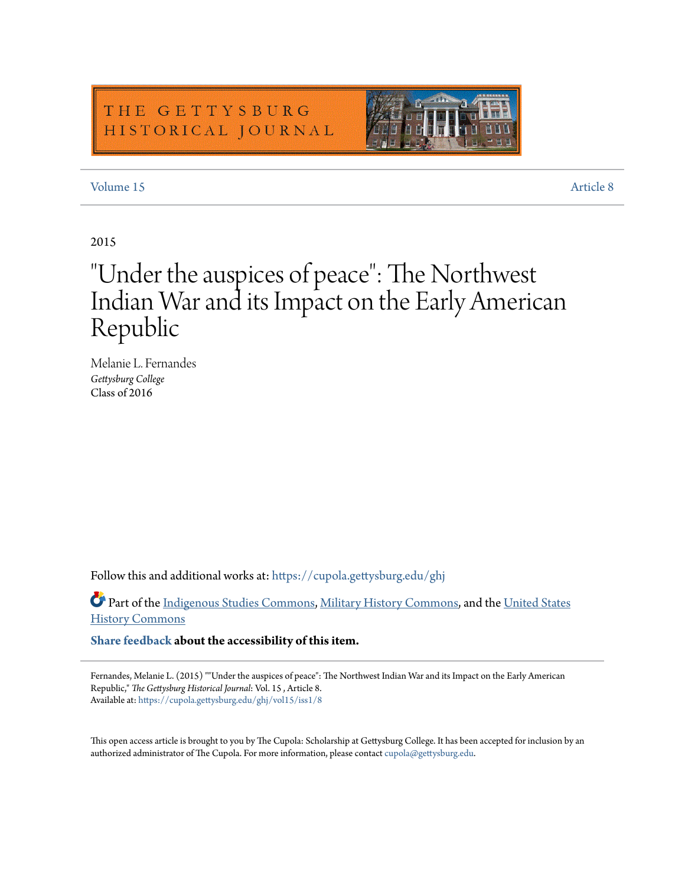### THE GETTYSBURG HISTORICAL JOURNAL



### [Volume 15](https://cupola.gettysburg.edu/ghj/vol15?utm_source=cupola.gettysburg.edu%2Fghj%2Fvol15%2Fiss1%2F8&utm_medium=PDF&utm_campaign=PDFCoverPages) [Article 8](https://cupola.gettysburg.edu/ghj/vol15/iss1/8?utm_source=cupola.gettysburg.edu%2Fghj%2Fvol15%2Fiss1%2F8&utm_medium=PDF&utm_campaign=PDFCoverPages)

### 2015

# "Under the auspices of peace": The Northwest Indian War and its Impact on the Early American Republic

Melanie L. Fernandes *Gettysburg College* Class of 2016

Follow this and additional works at: [https://cupola.gettysburg.edu/ghj](https://cupola.gettysburg.edu/ghj?utm_source=cupola.gettysburg.edu%2Fghj%2Fvol15%2Fiss1%2F8&utm_medium=PDF&utm_campaign=PDFCoverPages)

Part of the [Indigenous Studies Commons,](http://network.bepress.com/hgg/discipline/571?utm_source=cupola.gettysburg.edu%2Fghj%2Fvol15%2Fiss1%2F8&utm_medium=PDF&utm_campaign=PDFCoverPages) [Military History Commons,](http://network.bepress.com/hgg/discipline/504?utm_source=cupola.gettysburg.edu%2Fghj%2Fvol15%2Fiss1%2F8&utm_medium=PDF&utm_campaign=PDFCoverPages) and the [United States](http://network.bepress.com/hgg/discipline/495?utm_source=cupola.gettysburg.edu%2Fghj%2Fvol15%2Fiss1%2F8&utm_medium=PDF&utm_campaign=PDFCoverPages) [History Commons](http://network.bepress.com/hgg/discipline/495?utm_source=cupola.gettysburg.edu%2Fghj%2Fvol15%2Fiss1%2F8&utm_medium=PDF&utm_campaign=PDFCoverPages)

**[Share feedback](https://docs.google.com/a/bepress.com/forms/d/1h9eEcpBPj5POs5oO6Y5A0blXRmZqykoonyYiZUNyEq8/viewform) about the accessibility of this item.**

Fernandes, Melanie L. (2015) ""Under the auspices of peace": The Northwest Indian War and its Impact on the Early American Republic," *The Gettysburg Historical Journal*: Vol. 15 , Article 8. Available at: [https://cupola.gettysburg.edu/ghj/vol15/iss1/8](https://cupola.gettysburg.edu/ghj/vol15/iss1/8?utm_source=cupola.gettysburg.edu%2Fghj%2Fvol15%2Fiss1%2F8&utm_medium=PDF&utm_campaign=PDFCoverPages)

This open access article is brought to you by The Cupola: Scholarship at Gettysburg College. It has been accepted for inclusion by an authorized administrator of The Cupola. For more information, please contact [cupola@gettysburg.edu.](mailto:cupola@gettysburg.edu)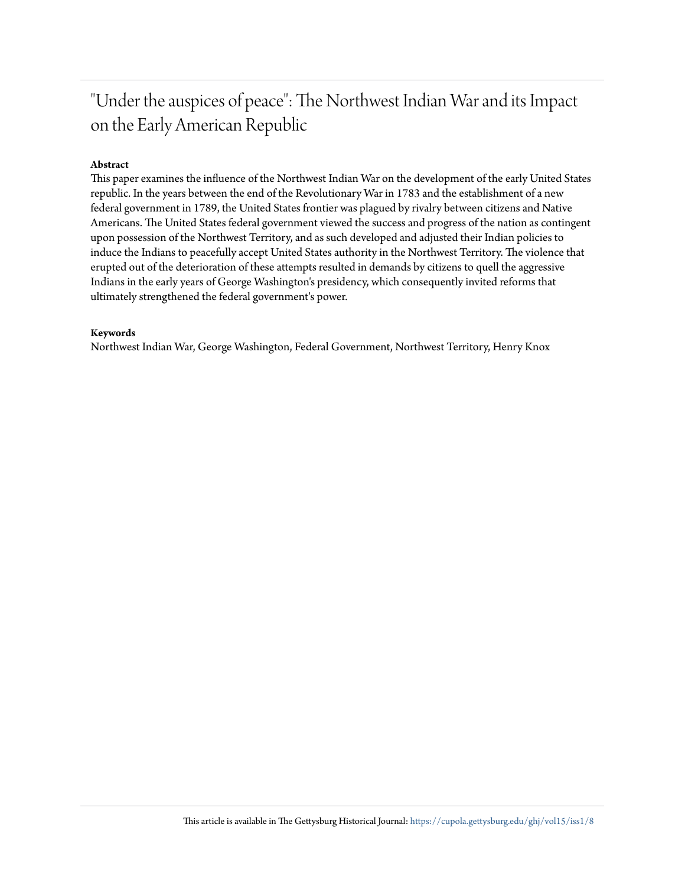## "Under the auspices of peace": The Northwest Indian War and its Impact on the Early American Republic

#### **Abstract**

This paper examines the influence of the Northwest Indian War on the development of the early United States republic. In the years between the end of the Revolutionary War in 1783 and the establishment of a new federal government in 1789, the United States frontier was plagued by rivalry between citizens and Native Americans. The United States federal government viewed the success and progress of the nation as contingent upon possession of the Northwest Territory, and as such developed and adjusted their Indian policies to induce the Indians to peacefully accept United States authority in the Northwest Territory. The violence that erupted out of the deterioration of these attempts resulted in demands by citizens to quell the aggressive Indians in the early years of George Washington's presidency, which consequently invited reforms that ultimately strengthened the federal government's power.

#### **Keywords**

Northwest Indian War, George Washington, Federal Government, Northwest Territory, Henry Knox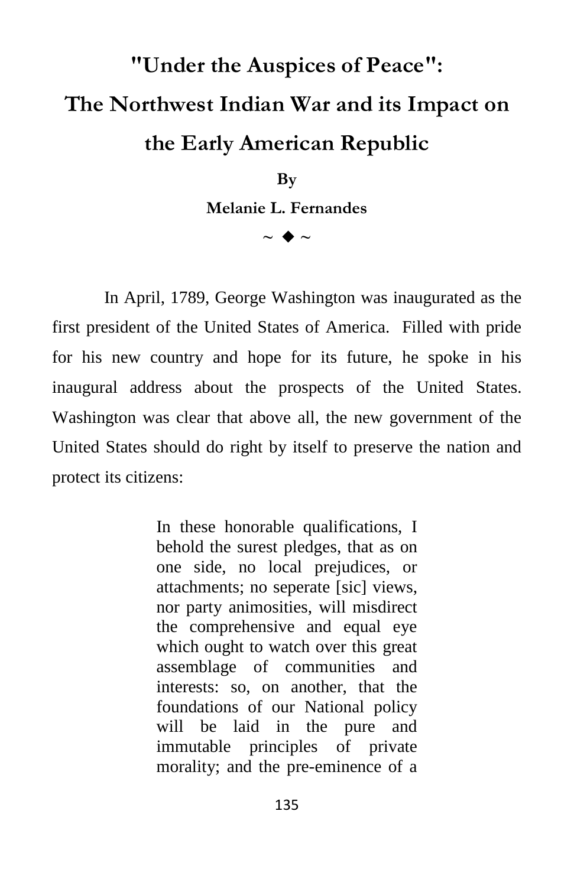# **"Under the Auspices of Peace": The Northwest Indian War and its Impact on the Early American Republic**

**By Melanie L. Fernandes**

 $\sim$   $\blacklozenge$   $\sim$ 

In April, 1789, George Washington was inaugurated as the first president of the United States of America. Filled with pride for his new country and hope for its future, he spoke in his inaugural address about the prospects of the United States. Washington was clear that above all, the new government of the United States should do right by itself to preserve the nation and protect its citizens:

> In these honorable qualifications, I behold the surest pledges, that as on one side, no local prejudices, or attachments; no seperate [sic] views, nor party animosities, will misdirect the comprehensive and equal eye which ought to watch over this great assemblage of communities and interests: so, on another, that the foundations of our National policy will be laid in the pure and immutable principles of private morality; and the pre-eminence of a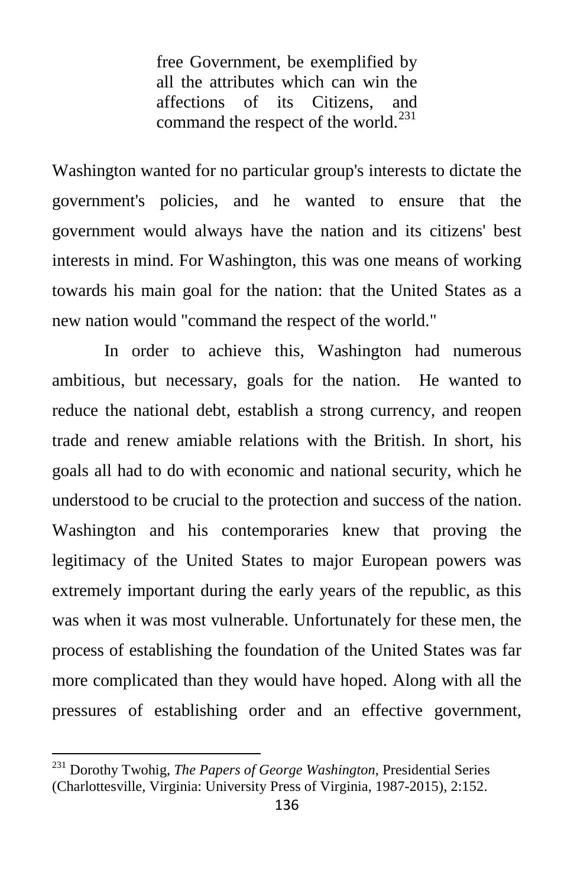free Government, be exemplified by all the attributes which can win the affections of its Citizens, and command the respect of the world.<sup>[231](#page-3-0)</sup>

Washington wanted for no particular group's interests to dictate the government's policies, and he wanted to ensure that the government would always have the nation and its citizens' best interests in mind. For Washington, this was one means of working towards his main goal for the nation: that the United States as a new nation would "command the respect of the world."

In order to achieve this, Washington had numerous ambitious, but necessary, goals for the nation. He wanted to reduce the national debt, establish a strong currency, and reopen trade and renew amiable relations with the British. In short, his goals all had to do with economic and national security, which he understood to be crucial to the protection and success of the nation. Washington and his contemporaries knew that proving the legitimacy of the United States to major European powers was extremely important during the early years of the republic, as this was when it was most vulnerable. Unfortunately for these men, the process of establishing the foundation of the United States was far more complicated than they would have hoped. Along with all the pressures of establishing order and an effective government,

<span id="page-3-0"></span><sup>231</sup> Dorothy Twohig, *The Papers of George Washington*, Presidential Series (Charlottesville, Virginia: University Press of Virginia, 1987-2015), 2:152.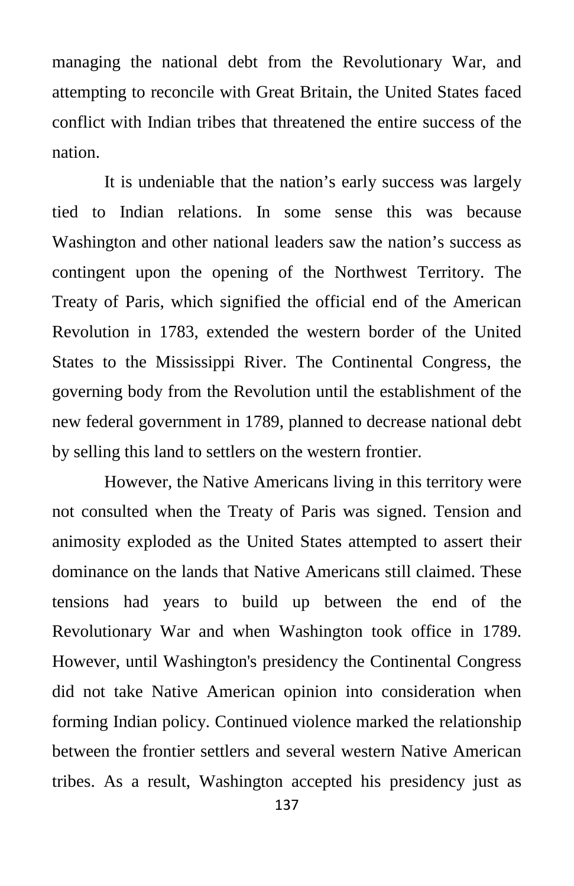managing the national debt from the Revolutionary War, and attempting to reconcile with Great Britain, the United States faced conflict with Indian tribes that threatened the entire success of the nation.

It is undeniable that the nation's early success was largely tied to Indian relations. In some sense this was because Washington and other national leaders saw the nation's success as contingent upon the opening of the Northwest Territory. The Treaty of Paris, which signified the official end of the American Revolution in 1783, extended the western border of the United States to the Mississippi River. The Continental Congress, the governing body from the Revolution until the establishment of the new federal government in 1789, planned to decrease national debt by selling this land to settlers on the western frontier.

However, the Native Americans living in this territory were not consulted when the Treaty of Paris was signed. Tension and animosity exploded as the United States attempted to assert their dominance on the lands that Native Americans still claimed. These tensions had years to build up between the end of the Revolutionary War and when Washington took office in 1789. However, until Washington's presidency the Continental Congress did not take Native American opinion into consideration when forming Indian policy. Continued violence marked the relationship between the frontier settlers and several western Native American tribes. As a result, Washington accepted his presidency just as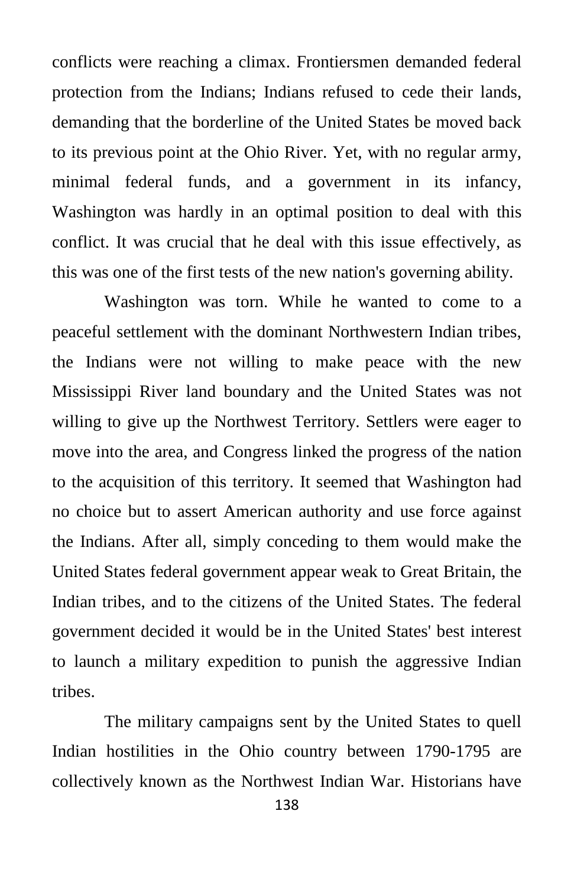conflicts were reaching a climax. Frontiersmen demanded federal protection from the Indians; Indians refused to cede their lands, demanding that the borderline of the United States be moved back to its previous point at the Ohio River. Yet, with no regular army, minimal federal funds, and a government in its infancy, Washington was hardly in an optimal position to deal with this conflict. It was crucial that he deal with this issue effectively, as this was one of the first tests of the new nation's governing ability.

Washington was torn. While he wanted to come to a peaceful settlement with the dominant Northwestern Indian tribes, the Indians were not willing to make peace with the new Mississippi River land boundary and the United States was not willing to give up the Northwest Territory. Settlers were eager to move into the area, and Congress linked the progress of the nation to the acquisition of this territory. It seemed that Washington had no choice but to assert American authority and use force against the Indians. After all, simply conceding to them would make the United States federal government appear weak to Great Britain, the Indian tribes, and to the citizens of the United States. The federal government decided it would be in the United States' best interest to launch a military expedition to punish the aggressive Indian tribes.

The military campaigns sent by the United States to quell Indian hostilities in the Ohio country between 1790-1795 are collectively known as the Northwest Indian War. Historians have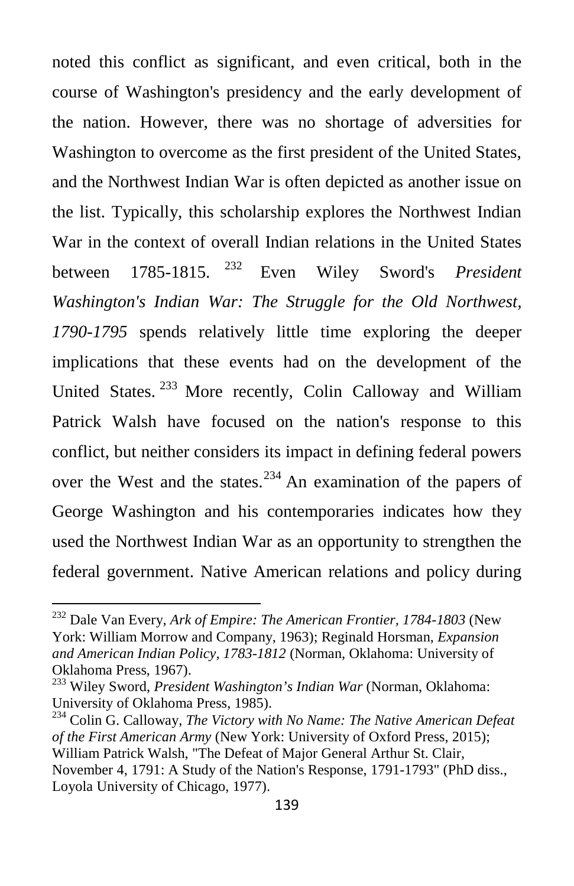noted this conflict as significant, and even critical, both in the course of Washington's presidency and the early development of the nation. However, there was no shortage of adversities for Washington to overcome as the first president of the United States, and the Northwest Indian War is often depicted as another issue on the list. Typically, this scholarship explores the Northwest Indian War in the context of overall Indian relations in the United States between 1785-1815. [232](#page-6-0) Even Wiley Sword's *President Washington's Indian War: The Struggle for the Old Northwest, 1790-1795* spends relatively little time exploring the deeper implications that these events had on the development of the United States.<sup>[233](#page-6-1)</sup> More recently, Colin Calloway and William Patrick Walsh have focused on the nation's response to this conflict, but neither considers its impact in defining federal powers over the West and the states.<sup>[234](#page-6-2)</sup> An examination of the papers of George Washington and his contemporaries indicates how they used the Northwest Indian War as an opportunity to strengthen the federal government. Native American relations and policy during

<span id="page-6-0"></span><sup>232</sup> Dale Van Every, *Ark of Empire: The American Frontier, 1784-1803* (New York: William Morrow and Company, 1963); Reginald Horsman, *Expansion and American Indian Policy, 1783-1812* (Norman, Oklahoma: University of Oklahoma Press, 1967).

<span id="page-6-1"></span><sup>233</sup> Wiley Sword, *President Washington's Indian War* (Norman, Oklahoma: University of Oklahoma Press, 1985).

<span id="page-6-2"></span><sup>234</sup> Colin G. Calloway, *The Victory with No Name: The Native American Defeat of the First American Army* (New York: University of Oxford Press, 2015); William Patrick Walsh, "The Defeat of Major General Arthur St. Clair, November 4, 1791: A Study of the Nation's Response, 1791-1793" (PhD diss., Loyola University of Chicago, 1977).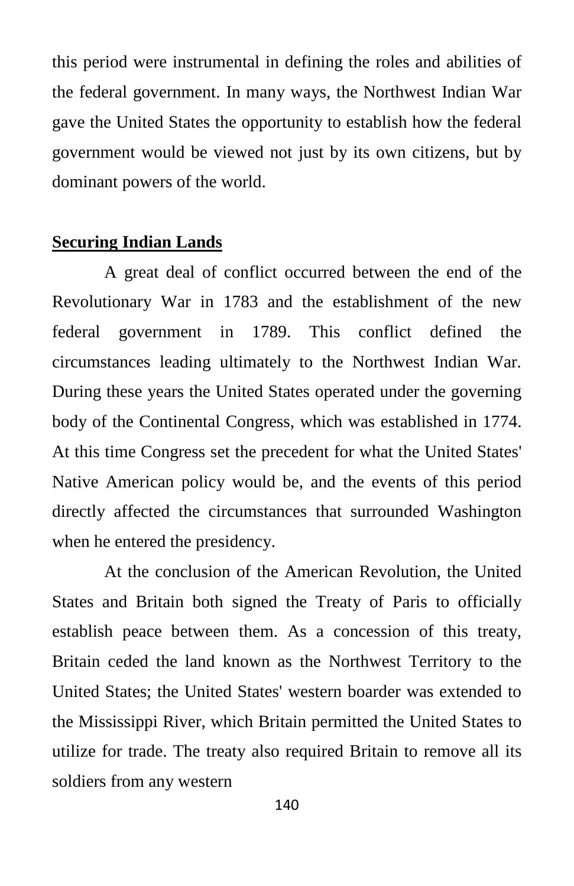this period were instrumental in defining the roles and abilities of the federal government. In many ways, the Northwest Indian War gave the United States the opportunity to establish how the federal government would be viewed not just by its own citizens, but by dominant powers of the world.

#### **Securing Indian Lands**

A great deal of conflict occurred between the end of the Revolutionary War in 1783 and the establishment of the new federal government in 1789. This conflict defined the circumstances leading ultimately to the Northwest Indian War. During these years the United States operated under the governing body of the Continental Congress, which was established in 1774. At this time Congress set the precedent for what the United States' Native American policy would be, and the events of this period directly affected the circumstances that surrounded Washington when he entered the presidency.

At the conclusion of the American Revolution, the United States and Britain both signed the Treaty of Paris to officially establish peace between them. As a concession of this treaty, Britain ceded the land known as the Northwest Territory to the United States; the United States' western boarder was extended to the Mississippi River, which Britain permitted the United States to utilize for trade. The treaty also required Britain to remove all its soldiers from any western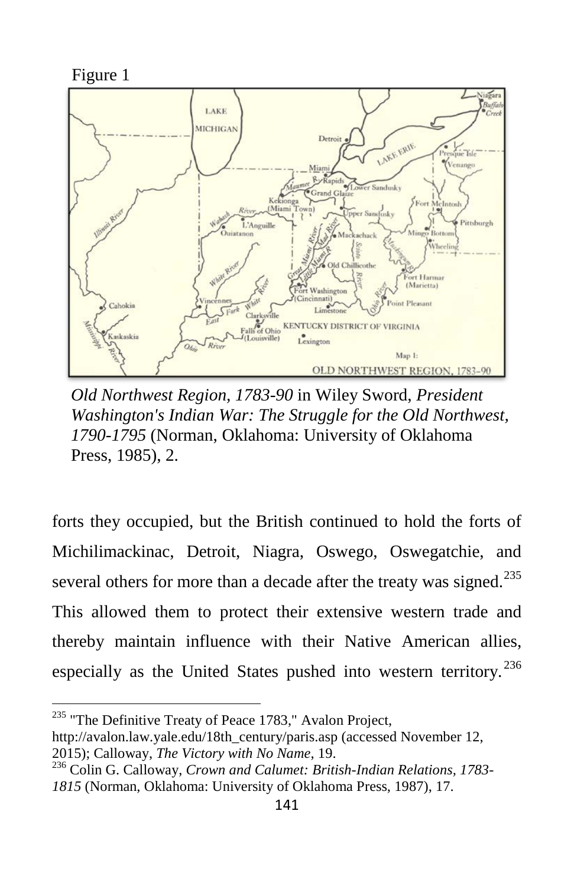

*Old Northwest Region, 1783-90* in Wiley Sword, *President Washington's Indian War: The Struggle for the Old Northwest, 1790-1795* (Norman, Oklahoma: University of Oklahoma Press, 1985), 2.

forts they occupied, but the British continued to hold the forts of Michilimackinac, Detroit, Niagra, Oswego, Oswegatchie, and several others for more than a decade after the treaty was signed.<sup>[235](#page-8-0)</sup> This allowed them to protect their extensive western trade and thereby maintain influence with their Native American allies, especially as the United States pushed into western territory.<sup>[236](#page-8-1)</sup>

<span id="page-8-0"></span><sup>&</sup>lt;sup>235</sup> "The Definitive Treaty of Peace 1783," Avalon Project,

http://avalon.law.yale.edu/18th\_century/paris.asp (accessed November 12, 2015); Calloway, *The Victory with No Name*, 19. <sup>236</sup> Colin G. Calloway, *Crown and Calumet: British-Indian Relations, 1783-*

<span id="page-8-1"></span>*<sup>1815</sup>* (Norman, Oklahoma: University of Oklahoma Press, 1987), 17.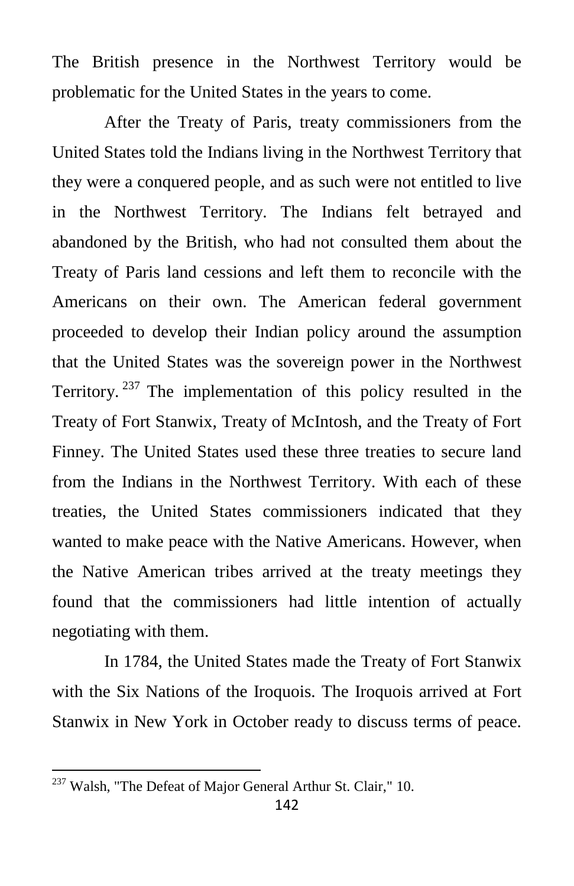The British presence in the Northwest Territory would be problematic for the United States in the years to come.

After the Treaty of Paris, treaty commissioners from the United States told the Indians living in the Northwest Territory that they were a conquered people, and as such were not entitled to live in the Northwest Territory. The Indians felt betrayed and abandoned by the British, who had not consulted them about the Treaty of Paris land cessions and left them to reconcile with the Americans on their own. The American federal government proceeded to develop their Indian policy around the assumption that the United States was the sovereign power in the Northwest Territory.  $237$  The implementation of this policy resulted in the Treaty of Fort Stanwix, Treaty of McIntosh, and the Treaty of Fort Finney. The United States used these three treaties to secure land from the Indians in the Northwest Territory. With each of these treaties, the United States commissioners indicated that they wanted to make peace with the Native Americans. However, when the Native American tribes arrived at the treaty meetings they found that the commissioners had little intention of actually negotiating with them.

In 1784, the United States made the Treaty of Fort Stanwix with the Six Nations of the Iroquois. The Iroquois arrived at Fort Stanwix in New York in October ready to discuss terms of peace.

<span id="page-9-0"></span><sup>&</sup>lt;sup>237</sup> Walsh, "The Defeat of Major General Arthur St. Clair," 10.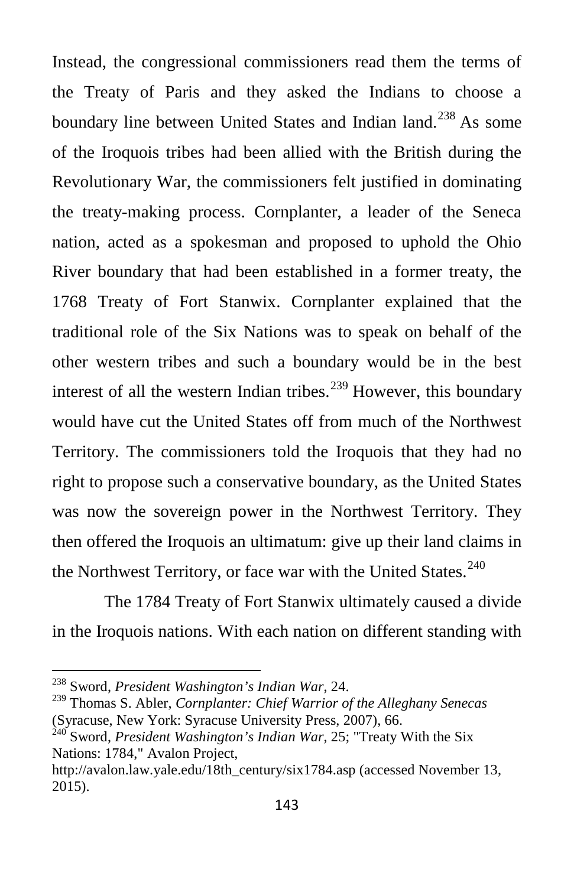Instead, the congressional commissioners read them the terms of the Treaty of Paris and they asked the Indians to choose a boundary line between United States and Indian land.<sup>[238](#page-10-0)</sup> As some of the Iroquois tribes had been allied with the British during the Revolutionary War, the commissioners felt justified in dominating the treaty-making process. Cornplanter, a leader of the Seneca nation, acted as a spokesman and proposed to uphold the Ohio River boundary that had been established in a former treaty, the 1768 Treaty of Fort Stanwix. Cornplanter explained that the traditional role of the Six Nations was to speak on behalf of the other western tribes and such a boundary would be in the best interest of all the western Indian tribes.<sup>[239](#page-10-1)</sup> However, this boundary would have cut the United States off from much of the Northwest Territory. The commissioners told the Iroquois that they had no right to propose such a conservative boundary, as the United States was now the sovereign power in the Northwest Territory. They then offered the Iroquois an ultimatum: give up their land claims in the Northwest Territory, or face war with the United States.<sup>[240](#page-10-2)</sup>

The 1784 Treaty of Fort Stanwix ultimately caused a divide in the Iroquois nations. With each nation on different standing with

<span id="page-10-0"></span><sup>238</sup> Sword, *President Washington's Indian War*, 24.

<span id="page-10-1"></span><sup>239</sup> Thomas S. Abler, *Cornplanter: Chief Warrior of the Alleghany Senecas* (Syracuse, New York: Syracuse University Press, 2007), 66.

<span id="page-10-2"></span><sup>&</sup>lt;sup>240</sup> Sword, *President Washington's Indian War*, 25; "Treaty With the Six Nations: 1784," Avalon Project,

http://avalon.law.yale.edu/18th\_century/six1784.asp (accessed November 13, 2015).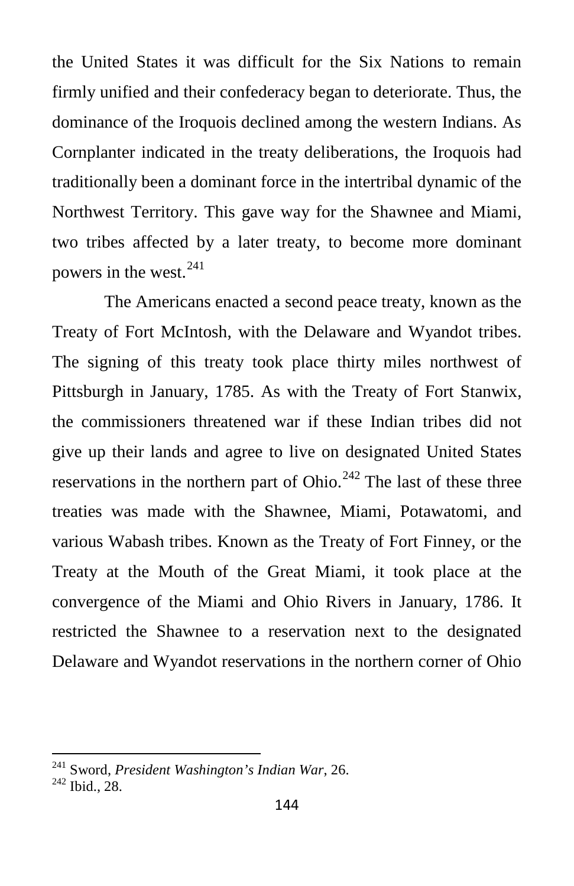the United States it was difficult for the Six Nations to remain firmly unified and their confederacy began to deteriorate. Thus, the dominance of the Iroquois declined among the western Indians. As Cornplanter indicated in the treaty deliberations, the Iroquois had traditionally been a dominant force in the intertribal dynamic of the Northwest Territory. This gave way for the Shawnee and Miami, two tribes affected by a later treaty, to become more dominant powers in the west. $241$ 

The Americans enacted a second peace treaty, known as the Treaty of Fort McIntosh, with the Delaware and Wyandot tribes. The signing of this treaty took place thirty miles northwest of Pittsburgh in January, 1785. As with the Treaty of Fort Stanwix, the commissioners threatened war if these Indian tribes did not give up their lands and agree to live on designated United States reservations in the northern part of Ohio. $^{242}$  $^{242}$  $^{242}$  The last of these three treaties was made with the Shawnee, Miami, Potawatomi, and various Wabash tribes. Known as the Treaty of Fort Finney, or the Treaty at the Mouth of the Great Miami, it took place at the convergence of the Miami and Ohio Rivers in January, 1786. It restricted the Shawnee to a reservation next to the designated Delaware and Wyandot reservations in the northern corner of Ohio

<span id="page-11-0"></span><sup>241</sup> Sword, *President Washington's Indian War*, 26. <sup>242</sup> Ibid., 28.

<span id="page-11-1"></span>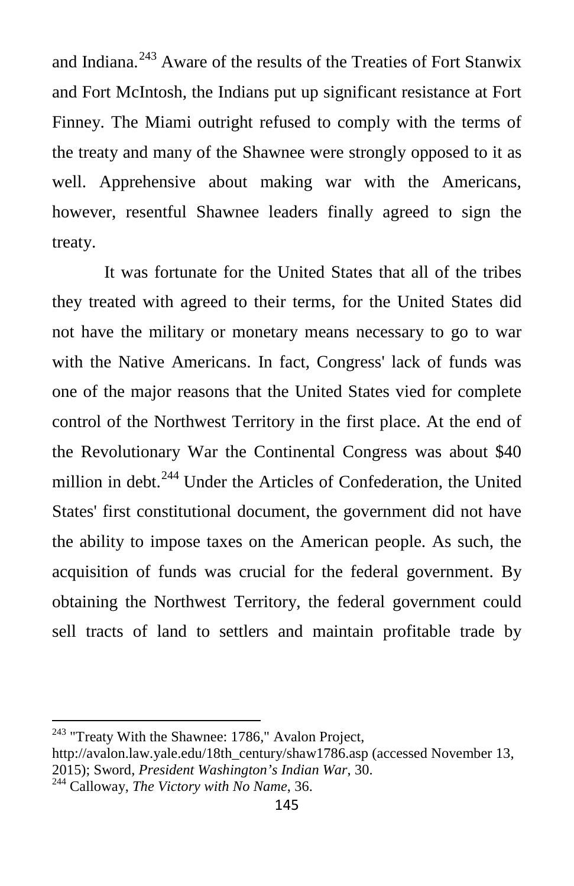and Indiana.<sup>[243](#page-12-0)</sup> Aware of the results of the Treaties of Fort Stanwix and Fort McIntosh, the Indians put up significant resistance at Fort Finney. The Miami outright refused to comply with the terms of the treaty and many of the Shawnee were strongly opposed to it as well. Apprehensive about making war with the Americans, however, resentful Shawnee leaders finally agreed to sign the treaty.

It was fortunate for the United States that all of the tribes they treated with agreed to their terms, for the United States did not have the military or monetary means necessary to go to war with the Native Americans. In fact, Congress' lack of funds was one of the major reasons that the United States vied for complete control of the Northwest Territory in the first place. At the end of the Revolutionary War the Continental Congress was about \$40 million in debt.<sup>[244](#page-12-1)</sup> Under the Articles of Confederation, the United States' first constitutional document, the government did not have the ability to impose taxes on the American people. As such, the acquisition of funds was crucial for the federal government. By obtaining the Northwest Territory, the federal government could sell tracts of land to settlers and maintain profitable trade by

<span id="page-12-0"></span><sup>&</sup>lt;sup>243</sup> "Treaty With the Shawnee: 1786," Avalon Project,

<span id="page-12-1"></span>http://avalon.law.yale.edu/18th\_century/shaw1786.asp (accessed November 13, 2015); Sword, *President Washington's Indian War*, 30. <sup>244</sup> Calloway, *The Victory with No Name*, 36.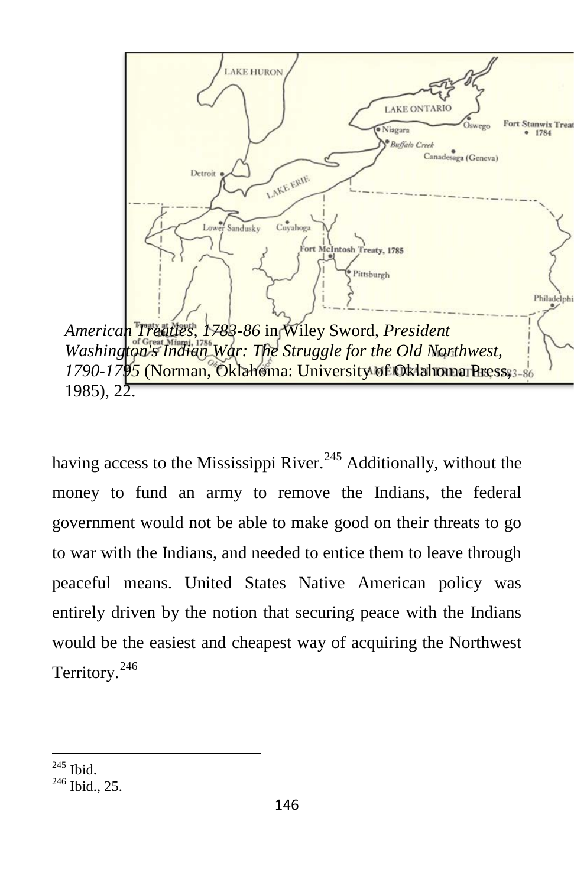

having access to the Mississippi River.<sup>[245](#page-13-0)</sup> Additionally, without the money to fund an army to remove the Indians, the federal government would not be able to make good on their threats to go to war with the Indians, and needed to entice them to leave through peaceful means. United States Native American policy was entirely driven by the notion that securing peace with the Indians would be the easiest and cheapest way of acquiring the Northwest Territory.<sup>[246](#page-13-1)</sup>

<span id="page-13-1"></span><span id="page-13-0"></span> $\frac{245}{246}$  Ibid., 25.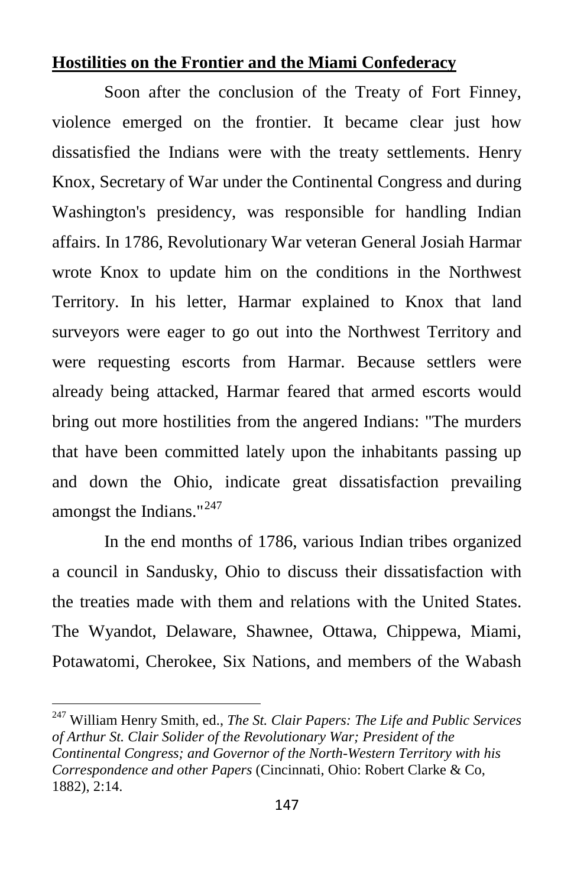#### **Hostilities on the Frontier and the Miami Confederacy**

Soon after the conclusion of the Treaty of Fort Finney, violence emerged on the frontier. It became clear just how dissatisfied the Indians were with the treaty settlements. Henry Knox, Secretary of War under the Continental Congress and during Washington's presidency, was responsible for handling Indian affairs. In 1786, Revolutionary War veteran General Josiah Harmar wrote Knox to update him on the conditions in the Northwest Territory. In his letter, Harmar explained to Knox that land surveyors were eager to go out into the Northwest Territory and were requesting escorts from Harmar. Because settlers were already being attacked, Harmar feared that armed escorts would bring out more hostilities from the angered Indians: "The murders that have been committed lately upon the inhabitants passing up and down the Ohio, indicate great dissatisfaction prevailing amongst the Indians."<sup>[247](#page-14-0)</sup>

In the end months of 1786, various Indian tribes organized a council in Sandusky, Ohio to discuss their dissatisfaction with the treaties made with them and relations with the United States. The Wyandot, Delaware, Shawnee, Ottawa, Chippewa, Miami, Potawatomi, Cherokee, Six Nations, and members of the Wabash

<span id="page-14-0"></span><sup>247</sup> William Henry Smith, ed., *The St. Clair Papers: The Life and Public Services of Arthur St. Clair Solider of the Revolutionary War; President of the Continental Congress; and Governor of the North-Western Territory with his Correspondence and other Papers* (Cincinnati, Ohio: Robert Clarke & Co, 1882), 2:14.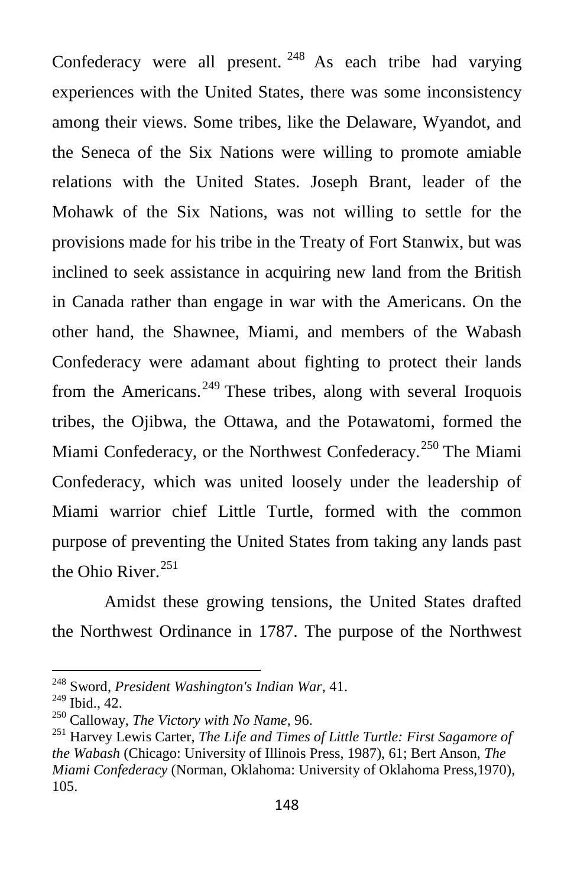Confederacy were all present.  $248$  As each tribe had varying experiences with the United States, there was some inconsistency among their views. Some tribes, like the Delaware, Wyandot, and the Seneca of the Six Nations were willing to promote amiable relations with the United States. Joseph Brant, leader of the Mohawk of the Six Nations, was not willing to settle for the provisions made for his tribe in the Treaty of Fort Stanwix, but was inclined to seek assistance in acquiring new land from the British in Canada rather than engage in war with the Americans. On the other hand, the Shawnee, Miami, and members of the Wabash Confederacy were adamant about fighting to protect their lands from the Americans.<sup>[249](#page-15-1)</sup> These tribes, along with several Iroquois tribes, the Ojibwa, the Ottawa, and the Potawatomi, formed the Miami Confederacy, or the Northwest Confederacy.<sup>[250](#page-15-2)</sup> The Miami Confederacy, which was united loosely under the leadership of Miami warrior chief Little Turtle, formed with the common purpose of preventing the United States from taking any lands past the Ohio River. [251](#page-15-3)

Amidst these growing tensions, the United States drafted the Northwest Ordinance in 1787. The purpose of the Northwest

<span id="page-15-0"></span><sup>248</sup> Sword, *President Washington's Indian War*, 41.

<span id="page-15-1"></span>

<span id="page-15-3"></span>

<span id="page-15-2"></span><sup>&</sup>lt;sup>250</sup> Calloway, *The Victory with No Name*, 96.<br><sup>251</sup> Harvey Lewis Carter, *The Life and Times of Little Turtle: First Sagamore of the Wabash* (Chicago: University of Illinois Press, 1987), 61; Bert Anson, *The Miami Confederacy* (Norman, Oklahoma: University of Oklahoma Press,1970), 105.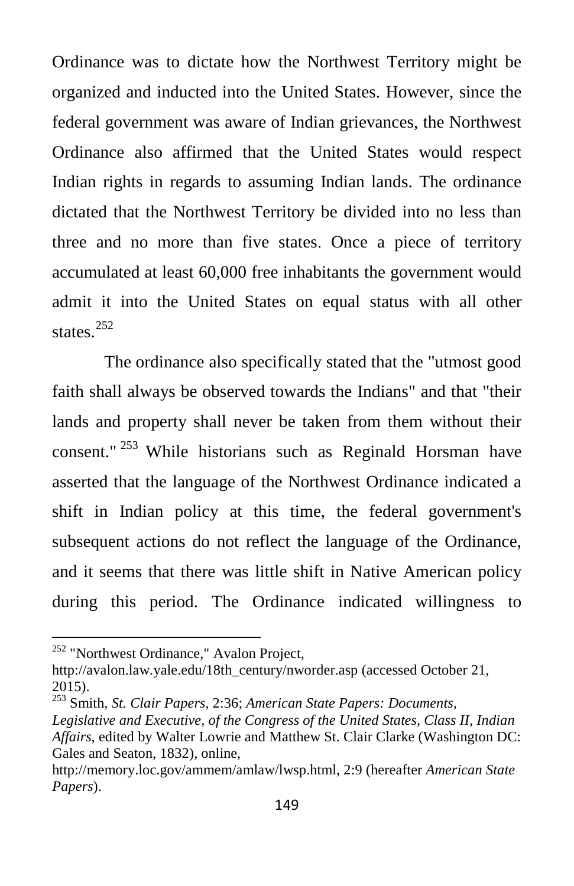Ordinance was to dictate how the Northwest Territory might be organized and inducted into the United States. However, since the federal government was aware of Indian grievances, the Northwest Ordinance also affirmed that the United States would respect Indian rights in regards to assuming Indian lands. The ordinance dictated that the Northwest Territory be divided into no less than three and no more than five states. Once a piece of territory accumulated at least 60,000 free inhabitants the government would admit it into the United States on equal status with all other states.<sup>[252](#page-16-0)</sup>

The ordinance also specifically stated that the "utmost good faith shall always be observed towards the Indians" and that "their lands and property shall never be taken from them without their consent." [253](#page-16-1) While historians such as Reginald Horsman have asserted that the language of the Northwest Ordinance indicated a shift in Indian policy at this time, the federal government's subsequent actions do not reflect the language of the Ordinance, and it seems that there was little shift in Native American policy during this period. The Ordinance indicated willingness to

<span id="page-16-0"></span><sup>&</sup>lt;sup>252</sup> "Northwest Ordinance," Avalon Project,

http://avalon.law.yale.edu/18th\_century/nworder.asp (accessed October 21, 2015).

<span id="page-16-1"></span><sup>253</sup> Smith, *St. Clair Papers*, 2:36; *American State Papers: Documents,* 

*Legislative and Executive, of the Congress of the United States, Class II, Indian Affairs*, edited by Walter Lowrie and Matthew St. Clair Clarke (Washington DC: Gales and Seaton, 1832), online,

http://memory.loc.gov/ammem/amlaw/lwsp.html, 2:9 (hereafter *American State Papers*).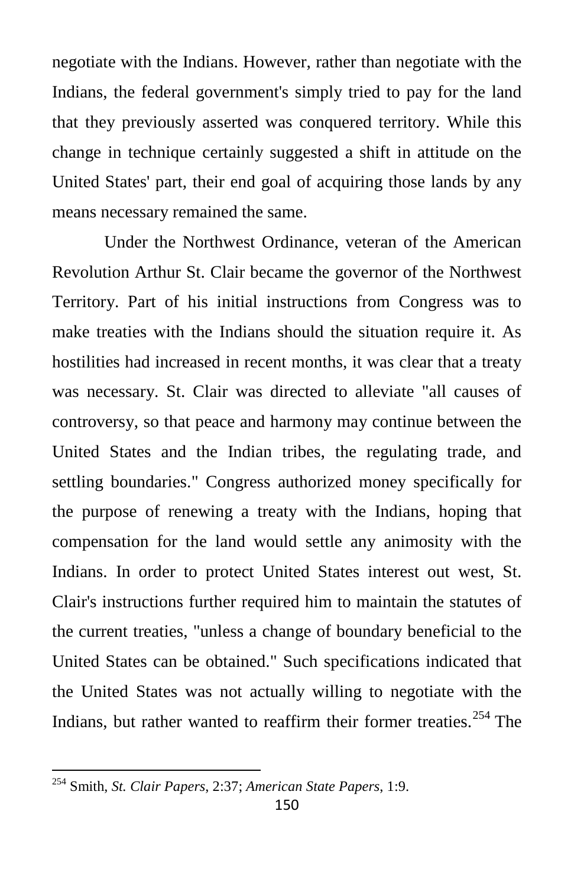negotiate with the Indians. However, rather than negotiate with the Indians, the federal government's simply tried to pay for the land that they previously asserted was conquered territory. While this change in technique certainly suggested a shift in attitude on the United States' part, their end goal of acquiring those lands by any means necessary remained the same.

Under the Northwest Ordinance, veteran of the American Revolution Arthur St. Clair became the governor of the Northwest Territory. Part of his initial instructions from Congress was to make treaties with the Indians should the situation require it. As hostilities had increased in recent months, it was clear that a treaty was necessary. St. Clair was directed to alleviate "all causes of controversy, so that peace and harmony may continue between the United States and the Indian tribes, the regulating trade, and settling boundaries." Congress authorized money specifically for the purpose of renewing a treaty with the Indians, hoping that compensation for the land would settle any animosity with the Indians. In order to protect United States interest out west, St. Clair's instructions further required him to maintain the statutes of the current treaties, "unless a change of boundary beneficial to the United States can be obtained." Such specifications indicated that the United States was not actually willing to negotiate with the Indians, but rather wanted to reaffirm their former treaties. [254](#page-17-0) The

<span id="page-17-0"></span><sup>254</sup> Smith, *St. Clair Papers*, 2:37; *American State Papers*, 1:9.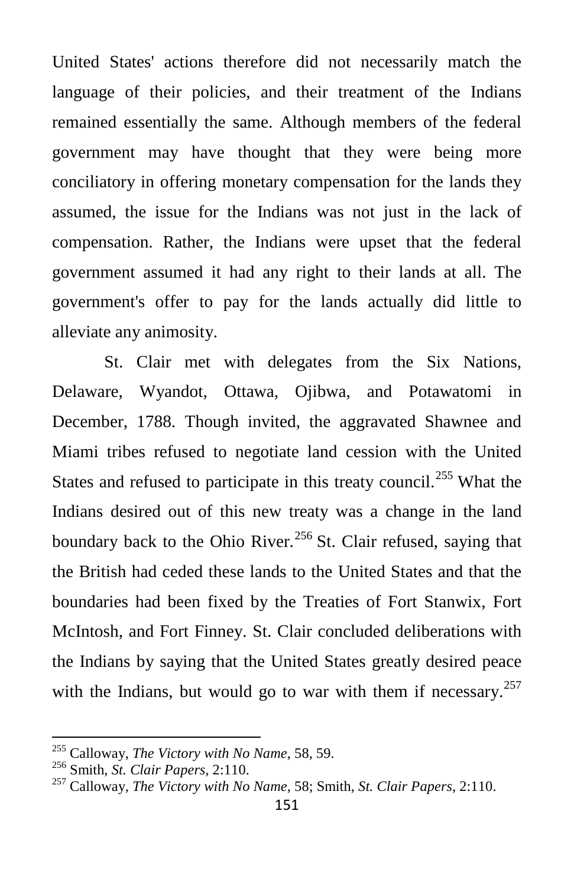United States' actions therefore did not necessarily match the language of their policies, and their treatment of the Indians remained essentially the same. Although members of the federal government may have thought that they were being more conciliatory in offering monetary compensation for the lands they assumed, the issue for the Indians was not just in the lack of compensation. Rather, the Indians were upset that the federal government assumed it had any right to their lands at all. The government's offer to pay for the lands actually did little to alleviate any animosity.

St. Clair met with delegates from the Six Nations, Delaware, Wyandot, Ottawa, Ojibwa, and Potawatomi in December, 1788. Though invited, the aggravated Shawnee and Miami tribes refused to negotiate land cession with the United States and refused to participate in this treaty council.<sup>[255](#page-18-0)</sup> What the Indians desired out of this new treaty was a change in the land boundary back to the Ohio River.<sup>[256](#page-18-1)</sup> St. Clair refused, saying that the British had ceded these lands to the United States and that the boundaries had been fixed by the Treaties of Fort Stanwix, Fort McIntosh, and Fort Finney. St. Clair concluded deliberations with the Indians by saying that the United States greatly desired peace with the Indians, but would go to war with them if necessary. $257$ 

<span id="page-18-2"></span><span id="page-18-1"></span>

<span id="page-18-0"></span><sup>255</sup> Calloway, *The Victory with No Name*, 58, 59. <sup>256</sup> Smith, *St. Clair Papers*, 2:110. 257 Calloway, *The Victory with No Name*, 58; Smith, *St. Clair Papers*, 2:110.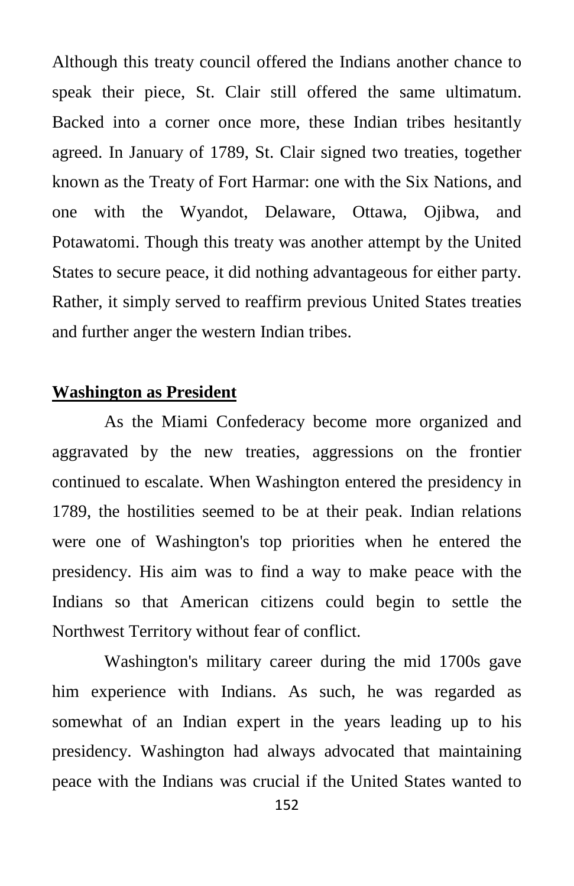Although this treaty council offered the Indians another chance to speak their piece, St. Clair still offered the same ultimatum. Backed into a corner once more, these Indian tribes hesitantly agreed. In January of 1789, St. Clair signed two treaties, together known as the Treaty of Fort Harmar: one with the Six Nations, and one with the Wyandot, Delaware, Ottawa, Ojibwa, and Potawatomi. Though this treaty was another attempt by the United States to secure peace, it did nothing advantageous for either party. Rather, it simply served to reaffirm previous United States treaties and further anger the western Indian tribes.

#### **Washington as President**

As the Miami Confederacy become more organized and aggravated by the new treaties, aggressions on the frontier continued to escalate. When Washington entered the presidency in 1789, the hostilities seemed to be at their peak. Indian relations were one of Washington's top priorities when he entered the presidency. His aim was to find a way to make peace with the Indians so that American citizens could begin to settle the Northwest Territory without fear of conflict.

Washington's military career during the mid 1700s gave him experience with Indians. As such, he was regarded as somewhat of an Indian expert in the years leading up to his presidency. Washington had always advocated that maintaining peace with the Indians was crucial if the United States wanted to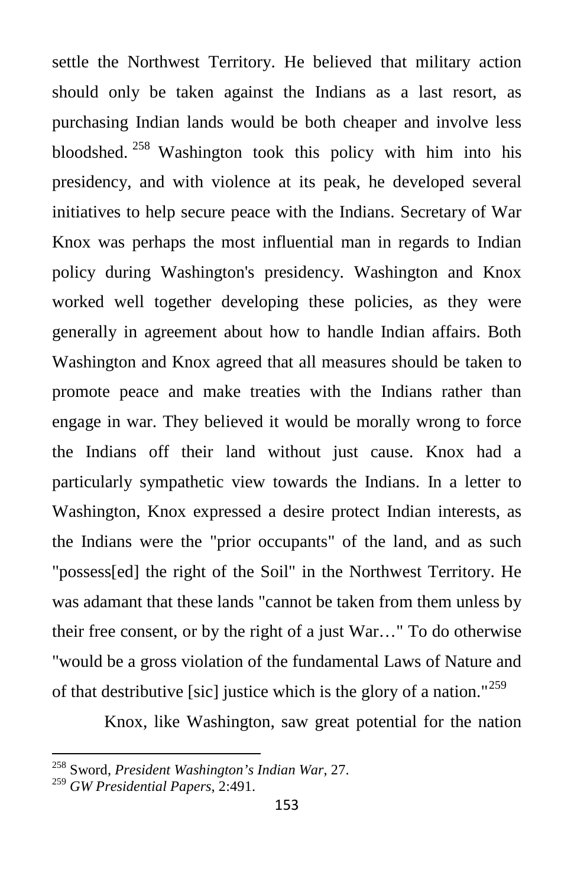settle the Northwest Territory. He believed that military action should only be taken against the Indians as a last resort, as purchasing Indian lands would be both cheaper and involve less bloodshed. [258](#page-20-0) Washington took this policy with him into his presidency, and with violence at its peak, he developed several initiatives to help secure peace with the Indians. Secretary of War Knox was perhaps the most influential man in regards to Indian policy during Washington's presidency. Washington and Knox worked well together developing these policies, as they were generally in agreement about how to handle Indian affairs. Both Washington and Knox agreed that all measures should be taken to promote peace and make treaties with the Indians rather than engage in war. They believed it would be morally wrong to force the Indians off their land without just cause. Knox had a particularly sympathetic view towards the Indians. In a letter to Washington, Knox expressed a desire protect Indian interests, as the Indians were the "prior occupants" of the land, and as such "possess[ed] the right of the Soil" in the Northwest Territory. He was adamant that these lands "cannot be taken from them unless by their free consent, or by the right of a just War…" To do otherwise "would be a gross violation of the fundamental Laws of Nature and of that destributive [sic] justice which is the glory of a nation."<sup>[259](#page-20-1)</sup>

Knox, like Washington, saw great potential for the nation

<span id="page-20-0"></span><sup>258</sup> Sword, *President Washington's Indian War*, 27.

<span id="page-20-1"></span><sup>259</sup> *GW Presidential Papers*, 2:491.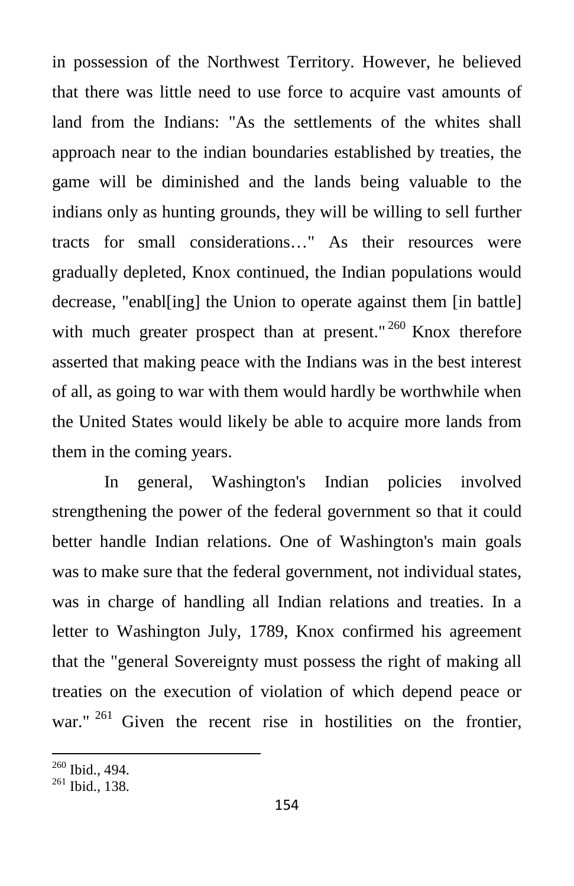in possession of the Northwest Territory. However, he believed that there was little need to use force to acquire vast amounts of land from the Indians: "As the settlements of the whites shall approach near to the indian boundaries established by treaties, the game will be diminished and the lands being valuable to the indians only as hunting grounds, they will be willing to sell further tracts for small considerations…" As their resources were gradually depleted, Knox continued, the Indian populations would decrease, "enabl[ing] the Union to operate against them [in battle] with much greater prospect than at present."  $260$  Knox therefore asserted that making peace with the Indians was in the best interest of all, as going to war with them would hardly be worthwhile when the United States would likely be able to acquire more lands from them in the coming years.

In general, Washington's Indian policies involved strengthening the power of the federal government so that it could better handle Indian relations. One of Washington's main goals was to make sure that the federal government, not individual states, was in charge of handling all Indian relations and treaties. In a letter to Washington July, 1789, Knox confirmed his agreement that the "general Sovereignty must possess the right of making all treaties on the execution of violation of which depend peace or war." <sup>[261](#page-21-1)</sup> Given the recent rise in hostilities on the frontier,

<span id="page-21-0"></span> $\frac{260}{261}$  Ibid., 494.

<span id="page-21-1"></span>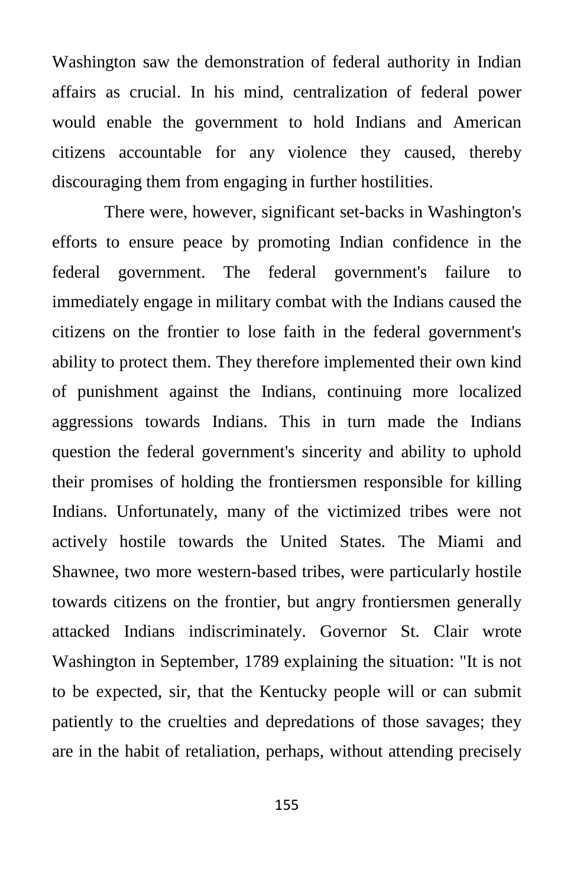Washington saw the demonstration of federal authority in Indian affairs as crucial. In his mind, centralization of federal power would enable the government to hold Indians and American citizens accountable for any violence they caused, thereby discouraging them from engaging in further hostilities.

There were, however, significant set-backs in Washington's efforts to ensure peace by promoting Indian confidence in the federal government. The federal government's failure to immediately engage in military combat with the Indians caused the citizens on the frontier to lose faith in the federal government's ability to protect them. They therefore implemented their own kind of punishment against the Indians, continuing more localized aggressions towards Indians. This in turn made the Indians question the federal government's sincerity and ability to uphold their promises of holding the frontiersmen responsible for killing Indians. Unfortunately, many of the victimized tribes were not actively hostile towards the United States. The Miami and Shawnee, two more western-based tribes, were particularly hostile towards citizens on the frontier, but angry frontiersmen generally attacked Indians indiscriminately. Governor St. Clair wrote Washington in September, 1789 explaining the situation: "It is not to be expected, sir, that the Kentucky people will or can submit patiently to the cruelties and depredations of those savages; they are in the habit of retaliation, perhaps, without attending precisely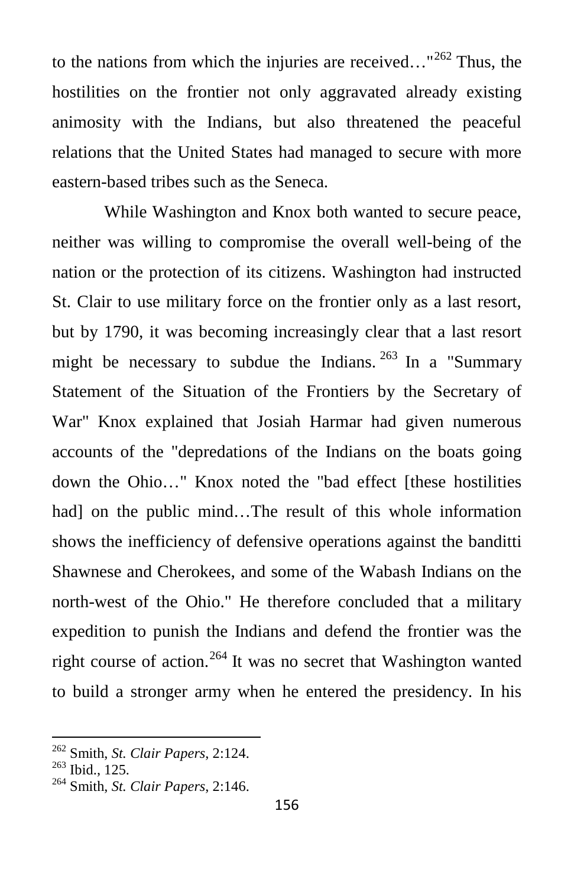to the nations from which the injuries are received..."<sup>[262](#page-23-0)</sup> Thus, the hostilities on the frontier not only aggravated already existing animosity with the Indians, but also threatened the peaceful relations that the United States had managed to secure with more eastern-based tribes such as the Seneca.

While Washington and Knox both wanted to secure peace, neither was willing to compromise the overall well-being of the nation or the protection of its citizens. Washington had instructed St. Clair to use military force on the frontier only as a last resort, but by 1790, it was becoming increasingly clear that a last resort might be necessary to subdue the Indians.  $^{263}$  $^{263}$  $^{263}$  In a "Summary" Statement of the Situation of the Frontiers by the Secretary of War" Knox explained that Josiah Harmar had given numerous accounts of the "depredations of the Indians on the boats going down the Ohio…" Knox noted the "bad effect [these hostilities had] on the public mind...The result of this whole information shows the inefficiency of defensive operations against the banditti Shawnese and Cherokees, and some of the Wabash Indians on the north-west of the Ohio." He therefore concluded that a military expedition to punish the Indians and defend the frontier was the right course of action.<sup>[264](#page-23-2)</sup> It was no secret that Washington wanted to build a stronger army when he entered the presidency. In his

<span id="page-23-0"></span><sup>262</sup> Smith, *St. Clair Papers*, 2:124. <sup>263</sup> Ibid., 125. <sup>264</sup> Smith, *St. Clair Papers*, 2:146.

<span id="page-23-1"></span>

<span id="page-23-2"></span>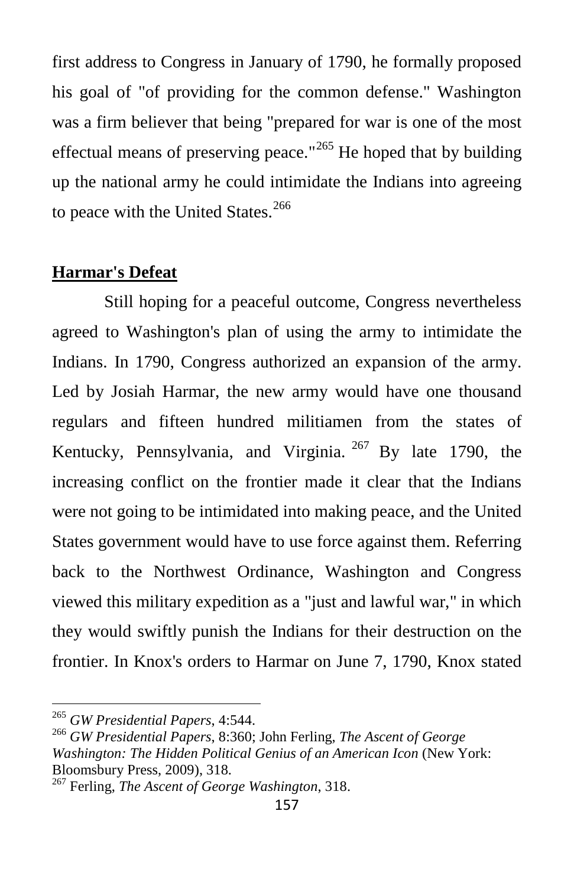first address to Congress in January of 1790, he formally proposed his goal of "of providing for the common defense." Washington was a firm believer that being "prepared for war is one of the most effectual means of preserving peace."<sup>[265](#page-24-0)</sup> He hoped that by building up the national army he could intimidate the Indians into agreeing to peace with the United States.<sup>[266](#page-24-1)</sup>

#### **Harmar's Defeat**

Still hoping for a peaceful outcome, Congress nevertheless agreed to Washington's plan of using the army to intimidate the Indians. In 1790, Congress authorized an expansion of the army. Led by Josiah Harmar, the new army would have one thousand regulars and fifteen hundred militiamen from the states of Kentucky, Pennsylvania, and Virginia. <sup>[267](#page-24-2)</sup> By late 1790, the increasing conflict on the frontier made it clear that the Indians were not going to be intimidated into making peace, and the United States government would have to use force against them. Referring back to the Northwest Ordinance, Washington and Congress viewed this military expedition as a "just and lawful war," in which they would swiftly punish the Indians for their destruction on the frontier. In Knox's orders to Harmar on June 7, 1790, Knox stated

<span id="page-24-1"></span>

<span id="page-24-0"></span><sup>265</sup> *GW Presidential Papers*, 4:544. <sup>266</sup> *GW Presidential Papers*, 8:360; John Ferling, *The Ascent of George Washington: The Hidden Political Genius of an American Icon* (New York:

<span id="page-24-2"></span><sup>&</sup>lt;sup>267</sup> Ferling, *The Ascent of George Washington*, 318.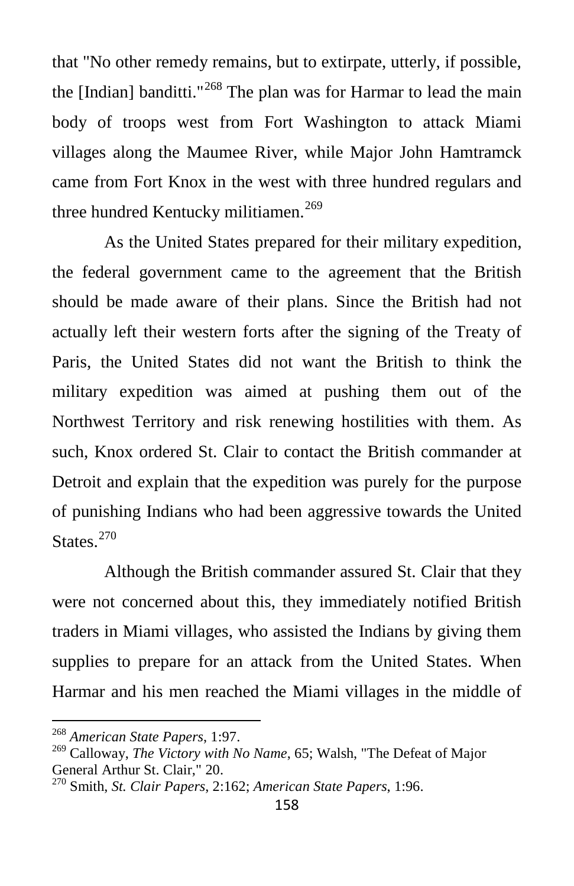that "No other remedy remains, but to extirpate, utterly, if possible, the [Indian] banditti."<sup>[268](#page-25-0)</sup> The plan was for Harmar to lead the main body of troops west from Fort Washington to attack Miami villages along the Maumee River, while Major John Hamtramck came from Fort Knox in the west with three hundred regulars and three hundred Kentucky militiamen.<sup>[269](#page-25-1)</sup>

As the United States prepared for their military expedition, the federal government came to the agreement that the British should be made aware of their plans. Since the British had not actually left their western forts after the signing of the Treaty of Paris, the United States did not want the British to think the military expedition was aimed at pushing them out of the Northwest Territory and risk renewing hostilities with them. As such, Knox ordered St. Clair to contact the British commander at Detroit and explain that the expedition was purely for the purpose of punishing Indians who had been aggressive towards the United States.<sup>[270](#page-25-2)</sup>

Although the British commander assured St. Clair that they were not concerned about this, they immediately notified British traders in Miami villages, who assisted the Indians by giving them supplies to prepare for an attack from the United States. When Harmar and his men reached the Miami villages in the middle of

<span id="page-25-0"></span><sup>268</sup> *American State Papers*, 1:97.

<span id="page-25-1"></span><sup>269</sup> Calloway, *The Victory with No Name*, 65; Walsh, "The Defeat of Major General Arthur St. Clair," 20.

<span id="page-25-2"></span><sup>270</sup> Smith, *St. Clair Papers*, 2:162; *American State Papers*, 1:96.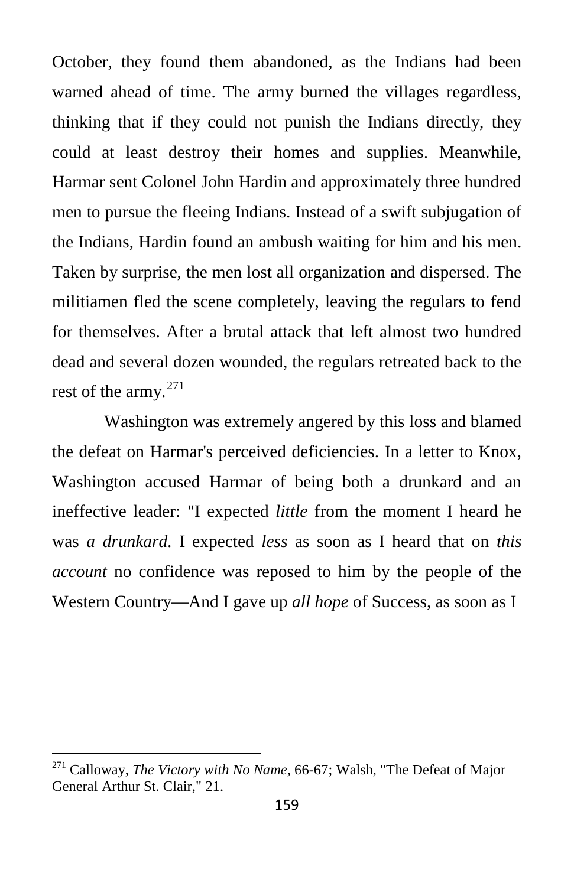October, they found them abandoned, as the Indians had been warned ahead of time. The army burned the villages regardless, thinking that if they could not punish the Indians directly, they could at least destroy their homes and supplies. Meanwhile, Harmar sent Colonel John Hardin and approximately three hundred men to pursue the fleeing Indians. Instead of a swift subjugation of the Indians, Hardin found an ambush waiting for him and his men. Taken by surprise, the men lost all organization and dispersed. The militiamen fled the scene completely, leaving the regulars to fend for themselves. After a brutal attack that left almost two hundred dead and several dozen wounded, the regulars retreated back to the rest of the army. $271$ 

Washington was extremely angered by this loss and blamed the defeat on Harmar's perceived deficiencies. In a letter to Knox, Washington accused Harmar of being both a drunkard and an ineffective leader: "I expected *little* from the moment I heard he was *a drunkard*. I expected *less* as soon as I heard that on *this account* no confidence was reposed to him by the people of the Western Country—And I gave up *all hope* of Success, as soon as I

<span id="page-26-0"></span><sup>271</sup> Calloway, *The Victory with No Name*, 66-67; Walsh, "The Defeat of Major General Arthur St. Clair," 21.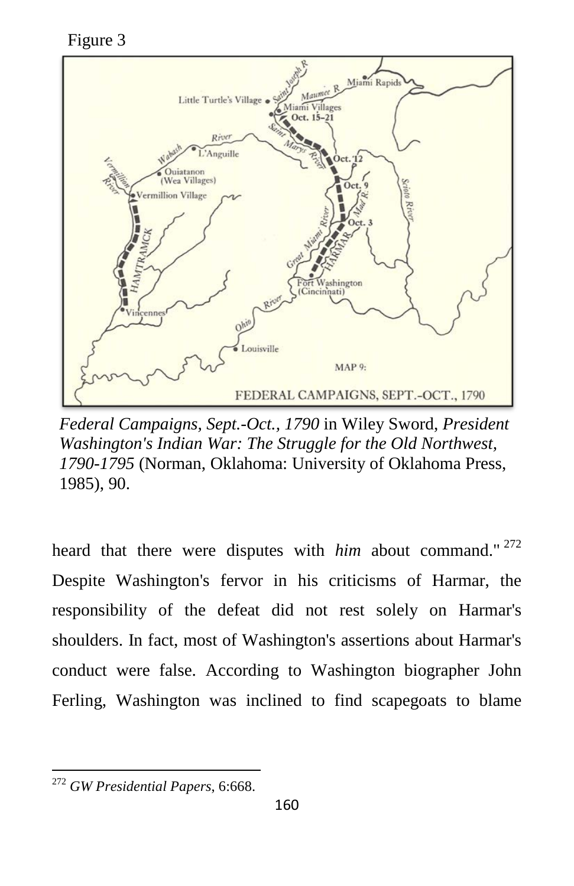Figure 3



*Federal Campaigns, Sept.-Oct., 1790* in Wiley Sword, *President Washington's Indian War: The Struggle for the Old Northwest, 1790-1795* (Norman, Oklahoma: University of Oklahoma Press, 1985), 90.

heard that there were disputes with *him* about command." Despite Washington's fervor in his criticisms of Harmar, the responsibility of the defeat did not rest solely on Harmar's shoulders. In fact, most of Washington's assertions about Harmar's conduct were false. According to Washington biographer John Ferling, Washington was inclined to find scapegoats to blame

<span id="page-27-0"></span><sup>272</sup> *GW Presidential Papers*, 6:668.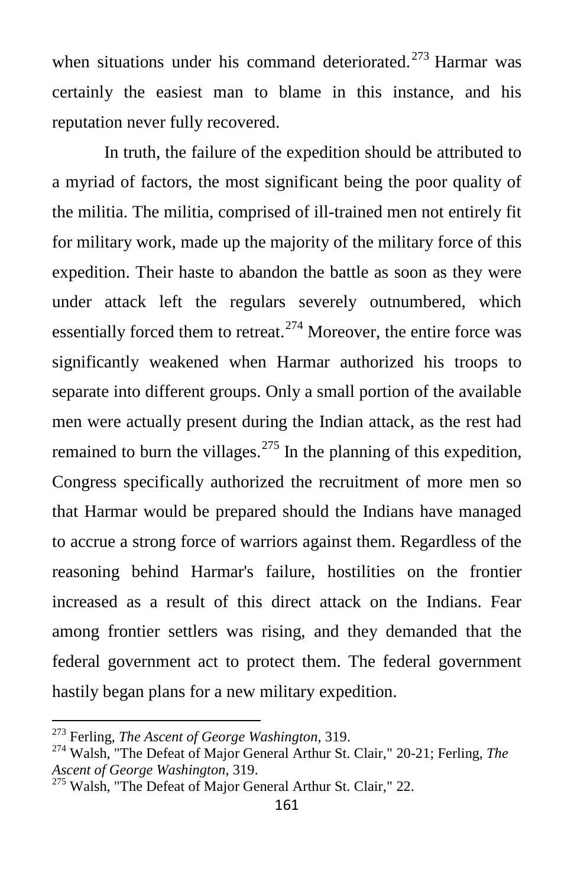when situations under his command deteriorated.<sup>[273](#page-28-0)</sup> Harmar was certainly the easiest man to blame in this instance, and his reputation never fully recovered.

In truth, the failure of the expedition should be attributed to a myriad of factors, the most significant being the poor quality of the militia. The militia, comprised of ill-trained men not entirely fit for military work, made up the majority of the military force of this expedition. Their haste to abandon the battle as soon as they were under attack left the regulars severely outnumbered, which essentially forced them to retreat.<sup>[274](#page-28-1)</sup> Moreover, the entire force was significantly weakened when Harmar authorized his troops to separate into different groups. Only a small portion of the available men were actually present during the Indian attack, as the rest had remained to burn the villages.<sup>[275](#page-28-2)</sup> In the planning of this expedition, Congress specifically authorized the recruitment of more men so that Harmar would be prepared should the Indians have managed to accrue a strong force of warriors against them. Regardless of the reasoning behind Harmar's failure, hostilities on the frontier increased as a result of this direct attack on the Indians. Fear among frontier settlers was rising, and they demanded that the federal government act to protect them. The federal government hastily began plans for a new military expedition.

<span id="page-28-1"></span><span id="page-28-0"></span><sup>&</sup>lt;sup>273</sup> Ferling, *The Ascent of George Washington*, 319.<br><sup>274</sup> Walsh, "The Defeat of Major General Arthur St. Clair," 20-21; Ferling, *The Ascent of George Washington*, 319.

<span id="page-28-2"></span><sup>&</sup>lt;sup>275</sup> Walsh, "The Defeat of Major General Arthur St. Clair," 22.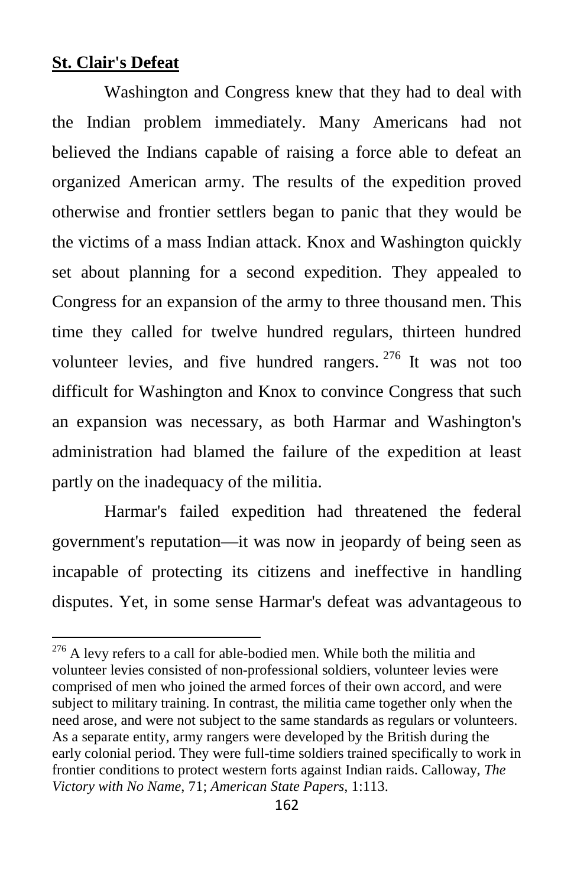#### **St. Clair's Defeat**

Washington and Congress knew that they had to deal with the Indian problem immediately. Many Americans had not believed the Indians capable of raising a force able to defeat an organized American army. The results of the expedition proved otherwise and frontier settlers began to panic that they would be the victims of a mass Indian attack. Knox and Washington quickly set about planning for a second expedition. They appealed to Congress for an expansion of the army to three thousand men. This time they called for twelve hundred regulars, thirteen hundred volunteer levies, and five hundred rangers.  $276$  It was not too difficult for Washington and Knox to convince Congress that such an expansion was necessary, as both Harmar and Washington's administration had blamed the failure of the expedition at least partly on the inadequacy of the militia.

Harmar's failed expedition had threatened the federal government's reputation—it was now in jeopardy of being seen as incapable of protecting its citizens and ineffective in handling disputes. Yet, in some sense Harmar's defeat was advantageous to

<span id="page-29-0"></span> $276$  A levy refers to a call for able-bodied men. While both the militia and volunteer levies consisted of non-professional soldiers, volunteer levies were comprised of men who joined the armed forces of their own accord, and were subject to military training. In contrast, the militia came together only when the need arose, and were not subject to the same standards as regulars or volunteers. As a separate entity, army rangers were developed by the British during the early colonial period. They were full-time soldiers trained specifically to work in frontier conditions to protect western forts against Indian raids. Calloway, *The Victory with No Name*, 71; *American State Papers*, 1:113.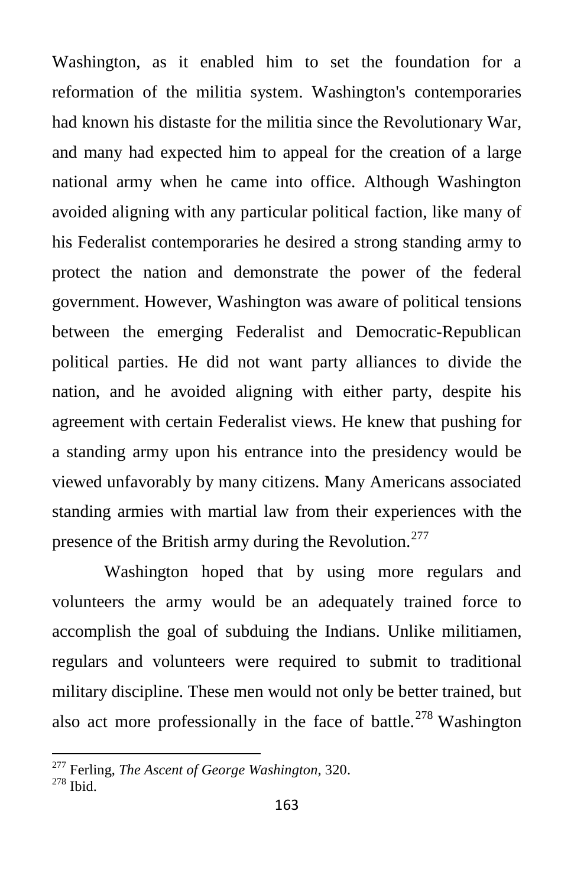Washington, as it enabled him to set the foundation for a reformation of the militia system. Washington's contemporaries had known his distaste for the militia since the Revolutionary War, and many had expected him to appeal for the creation of a large national army when he came into office. Although Washington avoided aligning with any particular political faction, like many of his Federalist contemporaries he desired a strong standing army to protect the nation and demonstrate the power of the federal government. However, Washington was aware of political tensions between the emerging Federalist and Democratic-Republican political parties. He did not want party alliances to divide the nation, and he avoided aligning with either party, despite his agreement with certain Federalist views. He knew that pushing for a standing army upon his entrance into the presidency would be viewed unfavorably by many citizens. Many Americans associated standing armies with martial law from their experiences with the presence of the British army during the Revolution.<sup>[277](#page-30-0)</sup>

Washington hoped that by using more regulars and volunteers the army would be an adequately trained force to accomplish the goal of subduing the Indians. Unlike militiamen, regulars and volunteers were required to submit to traditional military discipline. These men would not only be better trained, but also act more professionally in the face of battle.<sup>[278](#page-30-1)</sup> Washington

<span id="page-30-1"></span><span id="page-30-0"></span><sup>&</sup>lt;sup>277</sup> Ferling, *The Ascent of George Washington*, 320.<br><sup>278</sup> Ibid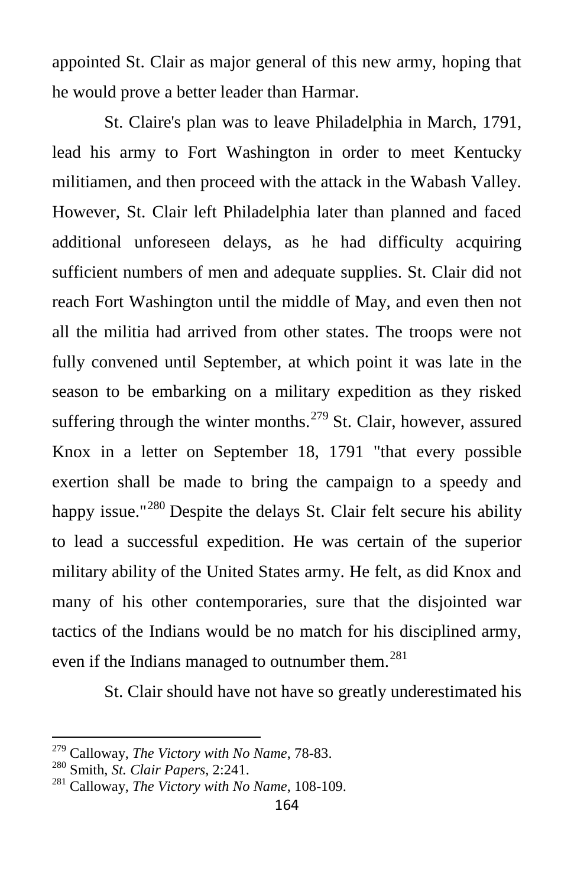appointed St. Clair as major general of this new army, hoping that he would prove a better leader than Harmar.

St. Claire's plan was to leave Philadelphia in March, 1791, lead his army to Fort Washington in order to meet Kentucky militiamen, and then proceed with the attack in the Wabash Valley. However, St. Clair left Philadelphia later than planned and faced additional unforeseen delays, as he had difficulty acquiring sufficient numbers of men and adequate supplies. St. Clair did not reach Fort Washington until the middle of May, and even then not all the militia had arrived from other states. The troops were not fully convened until September, at which point it was late in the season to be embarking on a military expedition as they risked suffering through the winter months.<sup>[279](#page-31-0)</sup> St. Clair, however, assured Knox in a letter on September 18, 1791 "that every possible exertion shall be made to bring the campaign to a speedy and happy issue."<sup>[280](#page-31-1)</sup> Despite the delays St. Clair felt secure his ability to lead a successful expedition. He was certain of the superior military ability of the United States army. He felt, as did Knox and many of his other contemporaries, sure that the disjointed war tactics of the Indians would be no match for his disciplined army, even if the Indians managed to outnumber them.<sup>[281](#page-31-2)</sup>

St. Clair should have not have so greatly underestimated his

<span id="page-31-0"></span><sup>279</sup> Calloway, *The Victory with No Name*, 78-83. <sup>280</sup> Smith, *St. Clair Papers*, 2:241. <sup>281</sup> Calloway, *The Victory with No Name*, 108-109.

<span id="page-31-1"></span>

<span id="page-31-2"></span>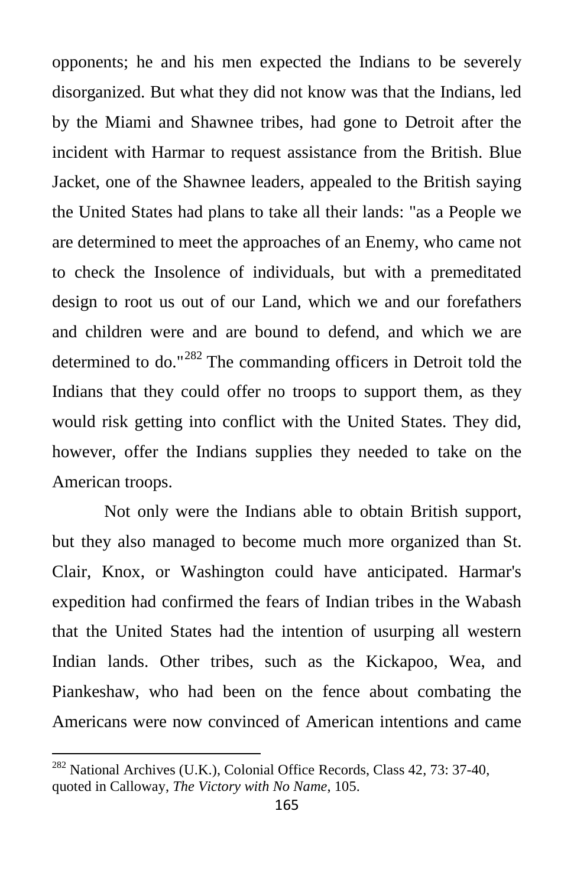opponents; he and his men expected the Indians to be severely disorganized. But what they did not know was that the Indians, led by the Miami and Shawnee tribes, had gone to Detroit after the incident with Harmar to request assistance from the British. Blue Jacket, one of the Shawnee leaders, appealed to the British saying the United States had plans to take all their lands: "as a People we are determined to meet the approaches of an Enemy, who came not to check the Insolence of individuals, but with a premeditated design to root us out of our Land, which we and our forefathers and children were and are bound to defend, and which we are determined to do."[282](#page-32-0) The commanding officers in Detroit told the Indians that they could offer no troops to support them, as they would risk getting into conflict with the United States. They did, however, offer the Indians supplies they needed to take on the American troops.

Not only were the Indians able to obtain British support, but they also managed to become much more organized than St. Clair, Knox, or Washington could have anticipated. Harmar's expedition had confirmed the fears of Indian tribes in the Wabash that the United States had the intention of usurping all western Indian lands. Other tribes, such as the Kickapoo, Wea, and Piankeshaw, who had been on the fence about combating the Americans were now convinced of American intentions and came

<span id="page-32-0"></span><sup>&</sup>lt;sup>282</sup> National Archives (U.K.), Colonial Office Records, Class 42, 73: 37-40, quoted in Calloway, *The Victory with No Name*, 105.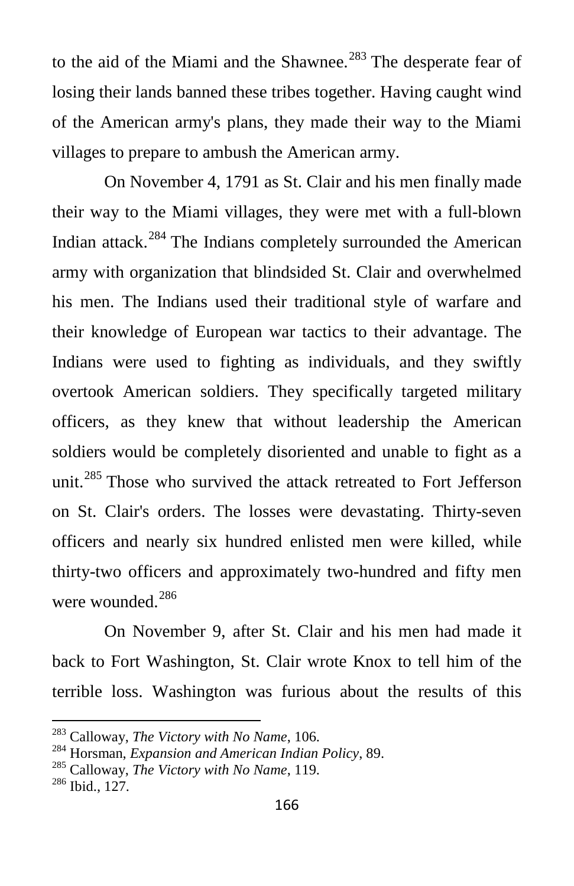to the aid of the Miami and the Shawnee.<sup>[283](#page-33-0)</sup> The desperate fear of losing their lands banned these tribes together. Having caught wind of the American army's plans, they made their way to the Miami villages to prepare to ambush the American army.

On November 4, 1791 as St. Clair and his men finally made their way to the Miami villages, they were met with a full-blown Indian attack.[284](#page-33-1) The Indians completely surrounded the American army with organization that blindsided St. Clair and overwhelmed his men. The Indians used their traditional style of warfare and their knowledge of European war tactics to their advantage. The Indians were used to fighting as individuals, and they swiftly overtook American soldiers. They specifically targeted military officers, as they knew that without leadership the American soldiers would be completely disoriented and unable to fight as a unit.<sup>[285](#page-33-2)</sup> Those who survived the attack retreated to Fort Jefferson on St. Clair's orders. The losses were devastating. Thirty-seven officers and nearly six hundred enlisted men were killed, while thirty-two officers and approximately two-hundred and fifty men were wounded.<sup>[286](#page-33-3)</sup>

On November 9, after St. Clair and his men had made it back to Fort Washington, St. Clair wrote Knox to tell him of the terrible loss. Washington was furious about the results of this

<span id="page-33-1"></span><span id="page-33-0"></span><sup>&</sup>lt;sup>283</sup> Calloway, *The Victory with No Name*, 106.<br><sup>284</sup> Horsman, *Expansion and American Indian Policy*, 89.<br><sup>285</sup> Calloway, *The Victory with No Name*, 119.<br><sup>286</sup> Ibid., 127.

<span id="page-33-2"></span>

<span id="page-33-3"></span>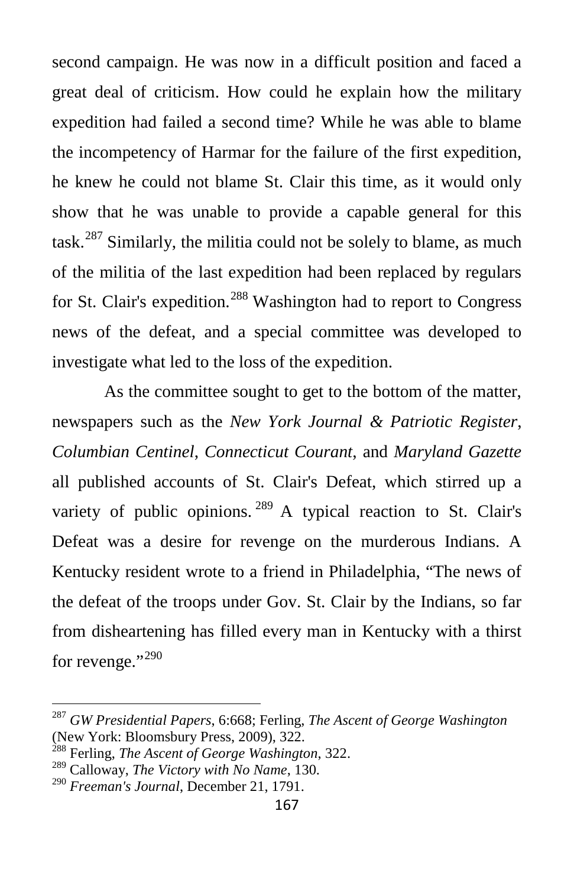second campaign. He was now in a difficult position and faced a great deal of criticism. How could he explain how the military expedition had failed a second time? While he was able to blame the incompetency of Harmar for the failure of the first expedition, he knew he could not blame St. Clair this time, as it would only show that he was unable to provide a capable general for this task.<sup>[287](#page-34-0)</sup> Similarly, the militia could not be solely to blame, as much of the militia of the last expedition had been replaced by regulars for St. Clair's expedition.<sup>[288](#page-34-1)</sup> Washington had to report to Congress news of the defeat, and a special committee was developed to investigate what led to the loss of the expedition.

As the committee sought to get to the bottom of the matter, newspapers such as the *New York Journal & Patriotic Register*, *Columbian Centinel*, *Connecticut Courant*, and *Maryland Gazette* all published accounts of St. Clair's Defeat, which stirred up a variety of public opinions.  $289$  A typical reaction to St. Clair's Defeat was a desire for revenge on the murderous Indians. A Kentucky resident wrote to a friend in Philadelphia, "The news of the defeat of the troops under Gov. St. Clair by the Indians, so far from disheartening has filled every man in Kentucky with a thirst for revenge."<sup>[290](#page-34-3)</sup>

<span id="page-34-0"></span><sup>287</sup> *GW Presidential Papers*, 6:668; Ferling, *The Ascent of George Washington* (New York: Bloomsbury Press, 2009), 322.

<span id="page-34-1"></span><sup>288</sup> Ferling, *The Ascent of George Washington*, 322.

<span id="page-34-2"></span><sup>289</sup> Calloway, *The Victory with No Name*, 130.

<span id="page-34-3"></span><sup>290</sup> *Freeman's Journal*, December 21, 1791.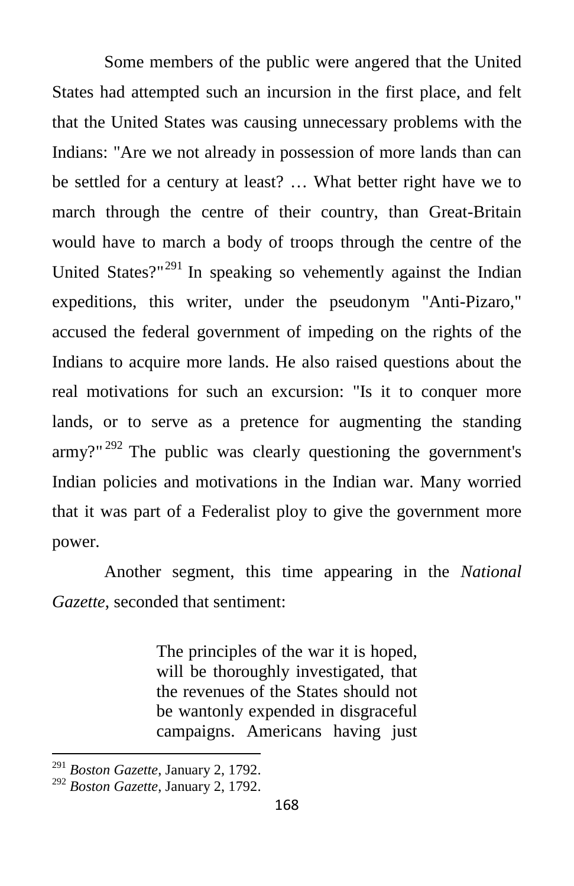Some members of the public were angered that the United States had attempted such an incursion in the first place, and felt that the United States was causing unnecessary problems with the Indians: "Are we not already in possession of more lands than can be settled for a century at least? … What better right have we to march through the centre of their country, than Great-Britain would have to march a body of troops through the centre of the United States?"<sup>[291](#page-35-0)</sup> In speaking so vehemently against the Indian expeditions, this writer, under the pseudonym "Anti-Pizaro," accused the federal government of impeding on the rights of the Indians to acquire more lands. He also raised questions about the real motivations for such an excursion: "Is it to conquer more lands, or to serve as a pretence for augmenting the standing  $army$ <sup>[292](#page-35-1)</sup> The public was clearly questioning the government's Indian policies and motivations in the Indian war. Many worried that it was part of a Federalist ploy to give the government more power.

Another segment, this time appearing in the *National Gazette*, seconded that sentiment:

> The principles of the war it is hoped, will be thoroughly investigated, that the revenues of the States should not be wantonly expended in disgraceful campaigns. Americans having just

<span id="page-35-0"></span><sup>291</sup> *Boston Gazette*, January 2, 1792.

<span id="page-35-1"></span><sup>292</sup> *Boston Gazette*, January 2, 1792.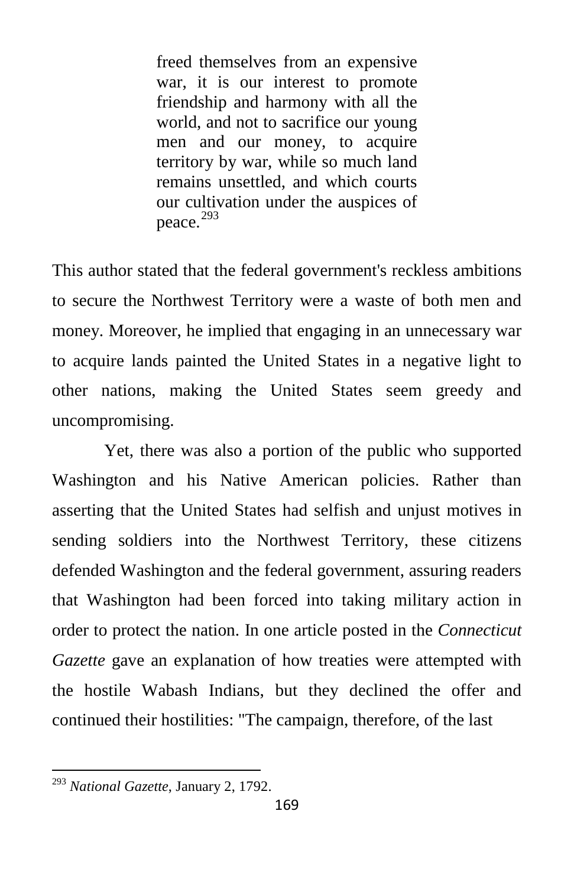freed themselves from an expensive war, it is our interest to promote friendship and harmony with all the world, and not to sacrifice our young men and our money, to acquire territory by war, while so much land remains unsettled, and which courts our cultivation under the auspices of peace.<sup>[293](#page-36-0)</sup>

This author stated that the federal government's reckless ambitions to secure the Northwest Territory were a waste of both men and money. Moreover, he implied that engaging in an unnecessary war to acquire lands painted the United States in a negative light to other nations, making the United States seem greedy and uncompromising.

Yet, there was also a portion of the public who supported Washington and his Native American policies. Rather than asserting that the United States had selfish and unjust motives in sending soldiers into the Northwest Territory, these citizens defended Washington and the federal government, assuring readers that Washington had been forced into taking military action in order to protect the nation. In one article posted in the *Connecticut Gazette* gave an explanation of how treaties were attempted with the hostile Wabash Indians, but they declined the offer and continued their hostilities: "The campaign, therefore, of the last

<span id="page-36-0"></span><sup>293</sup> *National Gazette*, January 2, 1792.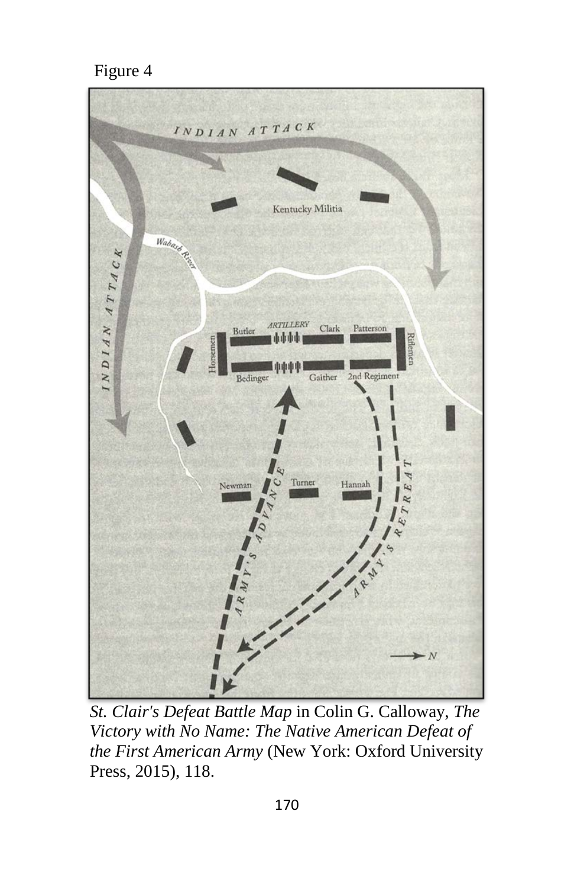#### Figure 4



*St. Clair's Defeat Battle Map* in Colin G. Calloway, *The Victory with No Name: The Native American Defeat of the First American Army* (New York: Oxford University Press, 2015), 118.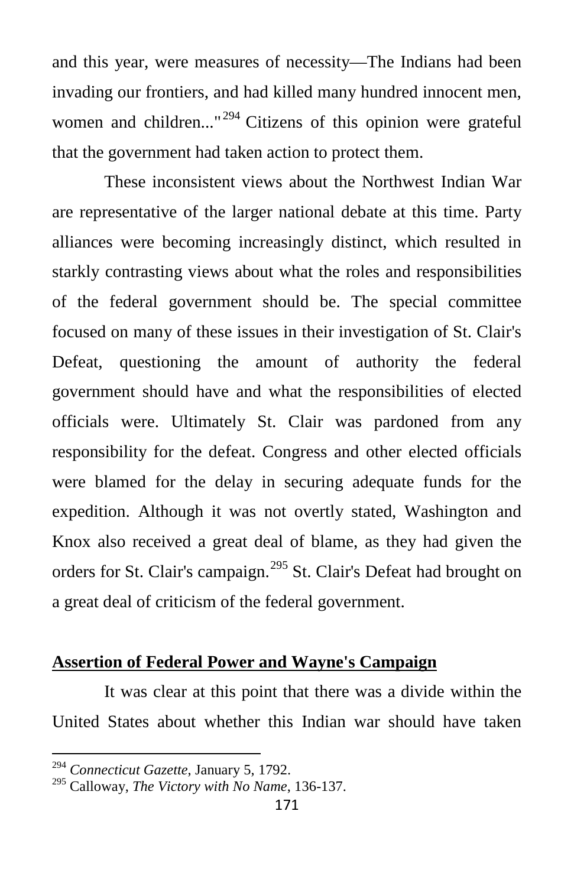and this year, were measures of necessity—The Indians had been invading our frontiers, and had killed many hundred innocent men, women and children..."<sup>[294](#page-38-0)</sup> Citizens of this opinion were grateful that the government had taken action to protect them.

These inconsistent views about the Northwest Indian War are representative of the larger national debate at this time. Party alliances were becoming increasingly distinct, which resulted in starkly contrasting views about what the roles and responsibilities of the federal government should be. The special committee focused on many of these issues in their investigation of St. Clair's Defeat, questioning the amount of authority the federal government should have and what the responsibilities of elected officials were. Ultimately St. Clair was pardoned from any responsibility for the defeat. Congress and other elected officials were blamed for the delay in securing adequate funds for the expedition. Although it was not overtly stated, Washington and Knox also received a great deal of blame, as they had given the orders for St. Clair's campaign.<sup>[295](#page-38-1)</sup> St. Clair's Defeat had brought on a great deal of criticism of the federal government.

#### **Assertion of Federal Power and Wayne's Campaign**

It was clear at this point that there was a divide within the United States about whether this Indian war should have taken

<span id="page-38-0"></span><sup>294</sup> *Connecticut Gazette*, January 5, 1792.

<span id="page-38-1"></span><sup>295</sup> Calloway, *The Victory with No Name*, 136-137.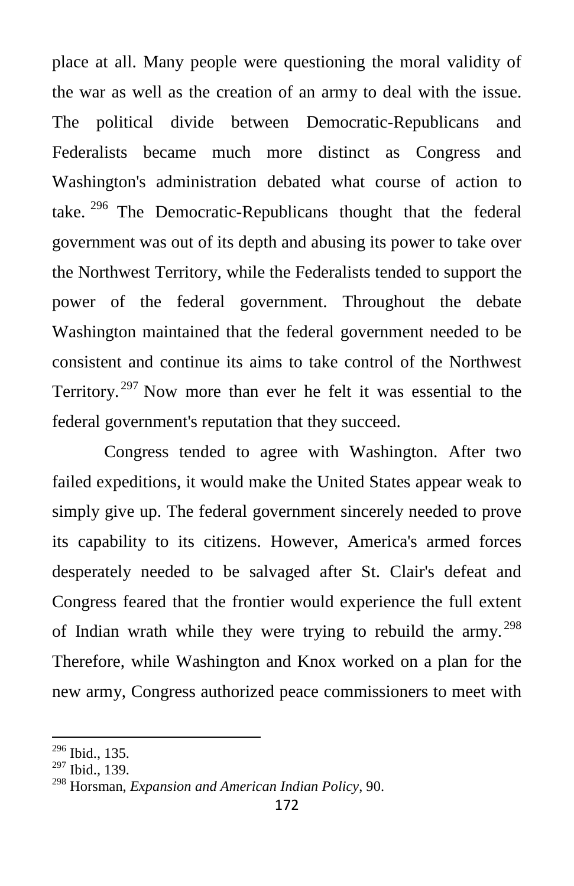place at all. Many people were questioning the moral validity of the war as well as the creation of an army to deal with the issue. The political divide between Democratic-Republicans and Federalists became much more distinct as Congress and Washington's administration debated what course of action to take.  $296$  The Democratic-Republicans thought that the federal government was out of its depth and abusing its power to take over the Northwest Territory, while the Federalists tended to support the power of the federal government. Throughout the debate Washington maintained that the federal government needed to be consistent and continue its aims to take control of the Northwest Territory. <sup>[297](#page-39-1)</sup> Now more than ever he felt it was essential to the federal government's reputation that they succeed.

Congress tended to agree with Washington. After two failed expeditions, it would make the United States appear weak to simply give up. The federal government sincerely needed to prove its capability to its citizens. However, America's armed forces desperately needed to be salvaged after St. Clair's defeat and Congress feared that the frontier would experience the full extent of Indian wrath while they were trying to rebuild the army.<sup>[298](#page-39-2)</sup> Therefore, while Washington and Knox worked on a plan for the new army, Congress authorized peace commissioners to meet with

<span id="page-39-0"></span><sup>296</sup> Ibid., 135.

<span id="page-39-1"></span> $^{297}$  Ibid., 139.

<span id="page-39-2"></span><sup>298</sup> Horsman, *Expansion and American Indian Policy*, 90.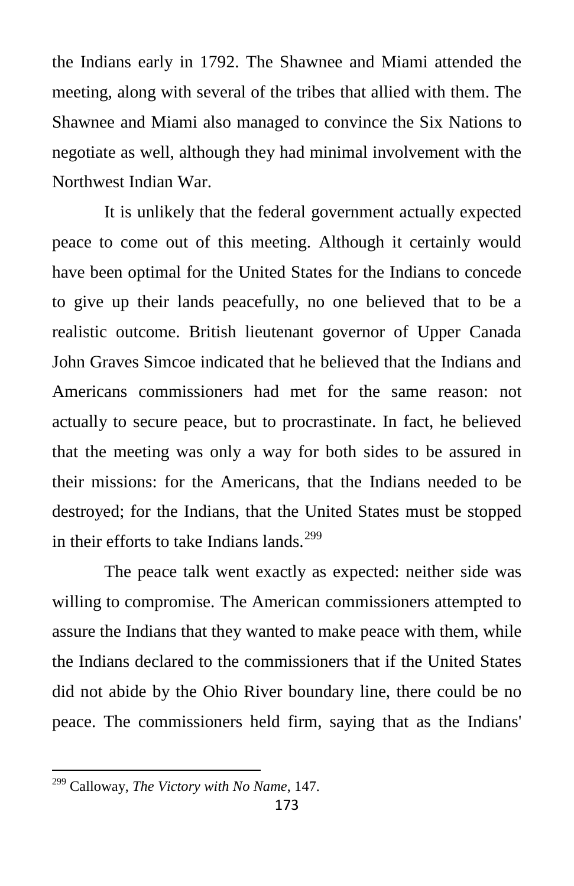the Indians early in 1792. The Shawnee and Miami attended the meeting, along with several of the tribes that allied with them. The Shawnee and Miami also managed to convince the Six Nations to negotiate as well, although they had minimal involvement with the Northwest Indian War.

It is unlikely that the federal government actually expected peace to come out of this meeting. Although it certainly would have been optimal for the United States for the Indians to concede to give up their lands peacefully, no one believed that to be a realistic outcome. British lieutenant governor of Upper Canada John Graves Simcoe indicated that he believed that the Indians and Americans commissioners had met for the same reason: not actually to secure peace, but to procrastinate. In fact, he believed that the meeting was only a way for both sides to be assured in their missions: for the Americans, that the Indians needed to be destroyed; for the Indians, that the United States must be stopped in their efforts to take Indians lands.<sup>[299](#page-40-0)</sup>

The peace talk went exactly as expected: neither side was willing to compromise. The American commissioners attempted to assure the Indians that they wanted to make peace with them, while the Indians declared to the commissioners that if the United States did not abide by the Ohio River boundary line, there could be no peace. The commissioners held firm, saying that as the Indians'

<span id="page-40-0"></span><sup>299</sup> Calloway, *The Victory with No Name*, 147.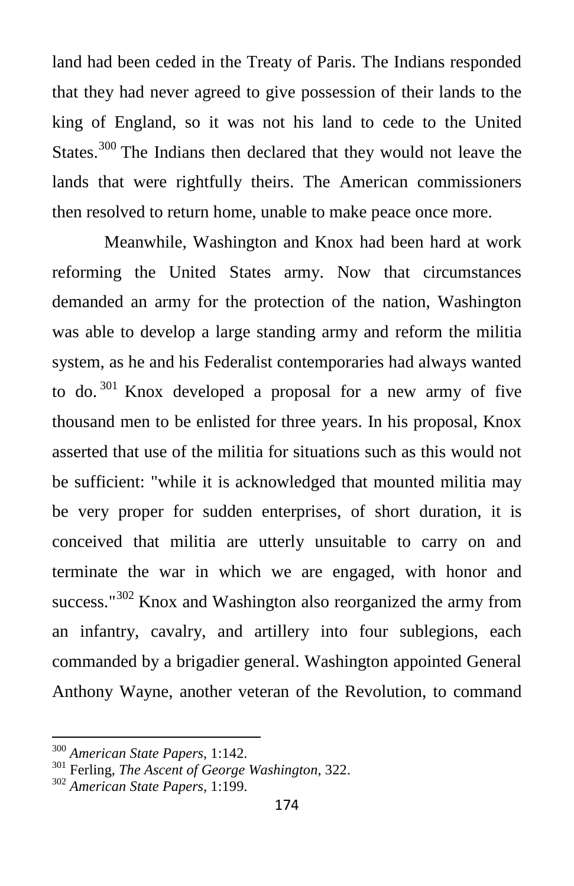land had been ceded in the Treaty of Paris. The Indians responded that they had never agreed to give possession of their lands to the king of England, so it was not his land to cede to the United States.<sup>[300](#page-41-0)</sup> The Indians then declared that they would not leave the lands that were rightfully theirs. The American commissioners then resolved to return home, unable to make peace once more.

Meanwhile, Washington and Knox had been hard at work reforming the United States army. Now that circumstances demanded an army for the protection of the nation, Washington was able to develop a large standing army and reform the militia system, as he and his Federalist contemporaries had always wanted to do.<sup>[301](#page-41-1)</sup> Knox developed a proposal for a new army of five thousand men to be enlisted for three years. In his proposal, Knox asserted that use of the militia for situations such as this would not be sufficient: "while it is acknowledged that mounted militia may be very proper for sudden enterprises, of short duration, it is conceived that militia are utterly unsuitable to carry on and terminate the war in which we are engaged, with honor and success."<sup>[302](#page-41-2)</sup> Knox and Washington also reorganized the army from an infantry, cavalry, and artillery into four sublegions, each commanded by a brigadier general. Washington appointed General Anthony Wayne, another veteran of the Revolution, to command

<span id="page-41-1"></span><span id="page-41-0"></span><sup>300</sup> *American State Papers*, 1:142. <sup>301</sup> Ferling, *The Ascent of George Washington*, 322. <sup>302</sup> *American State Papers*, 1:199.

<span id="page-41-2"></span>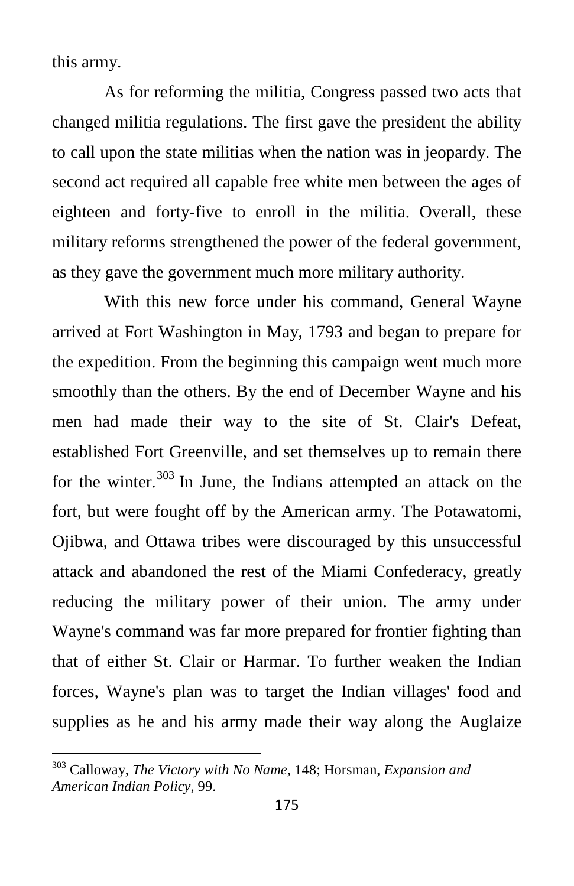this army.

As for reforming the militia, Congress passed two acts that changed militia regulations. The first gave the president the ability to call upon the state militias when the nation was in jeopardy. The second act required all capable free white men between the ages of eighteen and forty-five to enroll in the militia. Overall, these military reforms strengthened the power of the federal government, as they gave the government much more military authority.

With this new force under his command, General Wayne arrived at Fort Washington in May, 1793 and began to prepare for the expedition. From the beginning this campaign went much more smoothly than the others. By the end of December Wayne and his men had made their way to the site of St. Clair's Defeat, established Fort Greenville, and set themselves up to remain there for the winter.<sup>[303](#page-42-0)</sup> In June, the Indians attempted an attack on the fort, but were fought off by the American army. The Potawatomi, Ojibwa, and Ottawa tribes were discouraged by this unsuccessful attack and abandoned the rest of the Miami Confederacy, greatly reducing the military power of their union. The army under Wayne's command was far more prepared for frontier fighting than that of either St. Clair or Harmar. To further weaken the Indian forces, Wayne's plan was to target the Indian villages' food and supplies as he and his army made their way along the Auglaize

<span id="page-42-0"></span><sup>303</sup> Calloway, *The Victory with No Name*, 148; Horsman, *Expansion and American Indian Policy*, 99.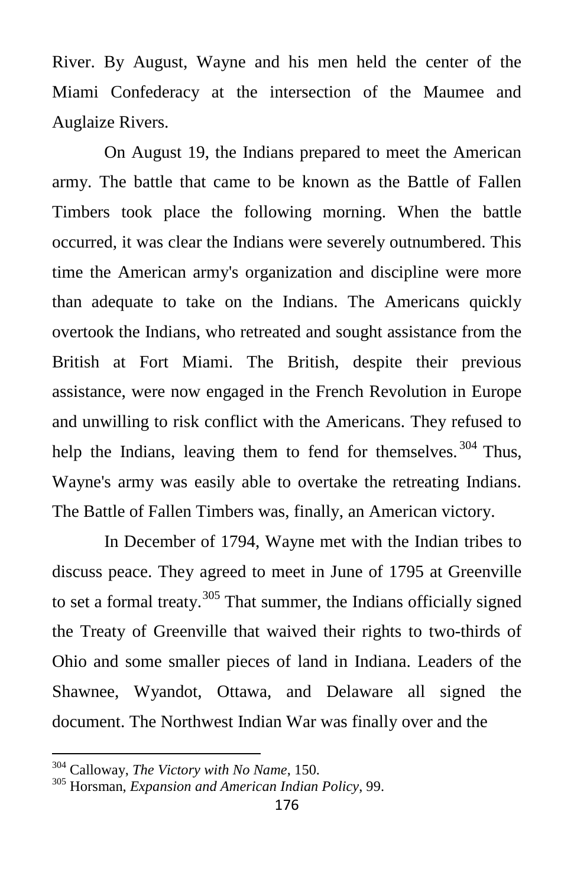River. By August, Wayne and his men held the center of the Miami Confederacy at the intersection of the Maumee and Auglaize Rivers.

On August 19, the Indians prepared to meet the American army. The battle that came to be known as the Battle of Fallen Timbers took place the following morning. When the battle occurred, it was clear the Indians were severely outnumbered. This time the American army's organization and discipline were more than adequate to take on the Indians. The Americans quickly overtook the Indians, who retreated and sought assistance from the British at Fort Miami. The British, despite their previous assistance, were now engaged in the French Revolution in Europe and unwilling to risk conflict with the Americans. They refused to help the Indians, leaving them to fend for themselves.<sup>[304](#page-43-0)</sup> Thus, Wayne's army was easily able to overtake the retreating Indians. The Battle of Fallen Timbers was, finally, an American victory.

In December of 1794, Wayne met with the Indian tribes to discuss peace. They agreed to meet in June of 1795 at Greenville to set a formal treaty.<sup>[305](#page-43-1)</sup> That summer, the Indians officially signed the Treaty of Greenville that waived their rights to two-thirds of Ohio and some smaller pieces of land in Indiana. Leaders of the Shawnee, Wyandot, Ottawa, and Delaware all signed the document. The Northwest Indian War was finally over and the

<span id="page-43-1"></span>

<span id="page-43-0"></span><sup>&</sup>lt;sup>304</sup> Calloway, *The Victory with No Name*, 150.<br><sup>305</sup> Horsman, *Expansion and American Indian Policy*, 99.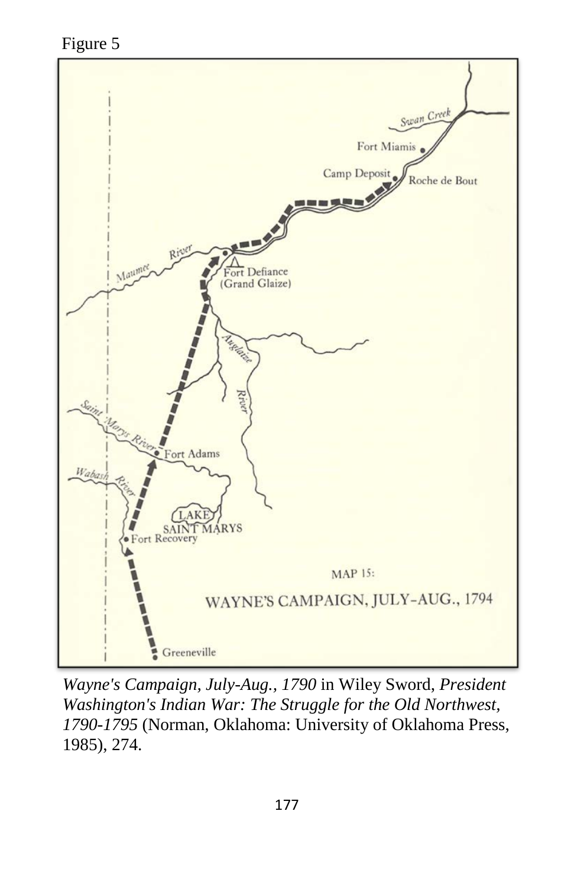Figure 5



*Wayne's Campaign, July-Aug., 1790* in Wiley Sword, *President Washington's Indian War: The Struggle for the Old Northwest, 1790-1795* (Norman, Oklahoma: University of Oklahoma Press, 1985), 274.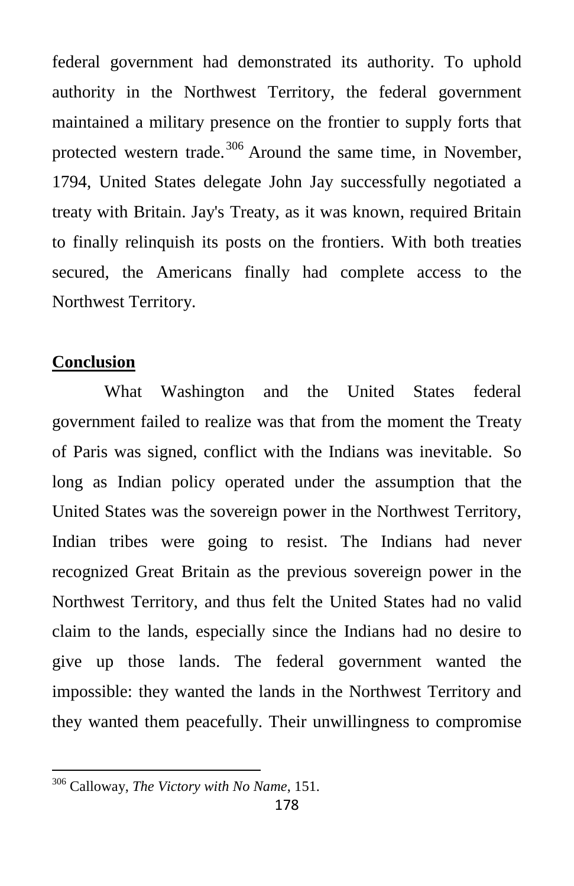federal government had demonstrated its authority. To uphold authority in the Northwest Territory, the federal government maintained a military presence on the frontier to supply forts that protected western trade.<sup>[306](#page-45-0)</sup> Around the same time, in November, 1794, United States delegate John Jay successfully negotiated a treaty with Britain. Jay's Treaty, as it was known, required Britain to finally relinquish its posts on the frontiers. With both treaties secured, the Americans finally had complete access to the Northwest Territory.

#### **Conclusion**

What Washington and the United States federal government failed to realize was that from the moment the Treaty of Paris was signed, conflict with the Indians was inevitable. So long as Indian policy operated under the assumption that the United States was the sovereign power in the Northwest Territory, Indian tribes were going to resist. The Indians had never recognized Great Britain as the previous sovereign power in the Northwest Territory, and thus felt the United States had no valid claim to the lands, especially since the Indians had no desire to give up those lands. The federal government wanted the impossible: they wanted the lands in the Northwest Territory and they wanted them peacefully. Their unwillingness to compromise

<span id="page-45-0"></span><sup>306</sup> Calloway, *The Victory with No Name*, 151.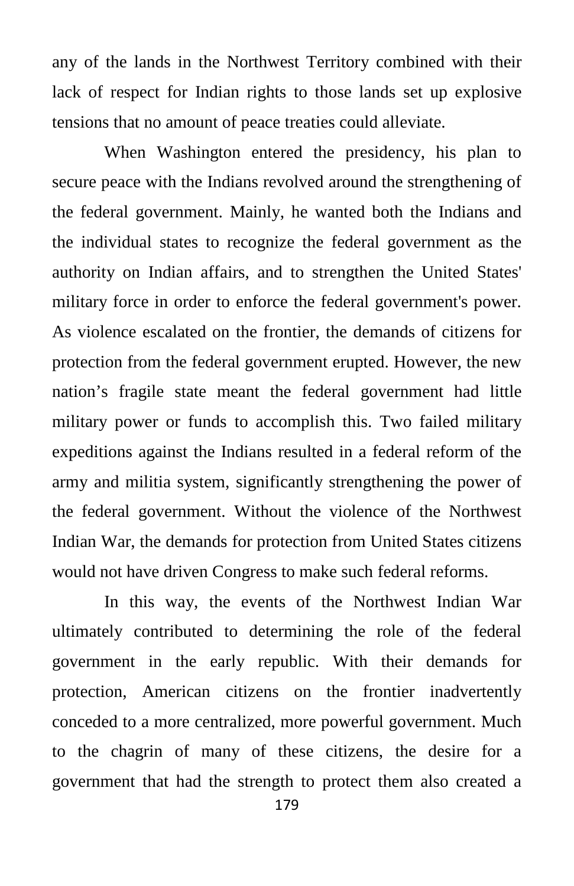any of the lands in the Northwest Territory combined with their lack of respect for Indian rights to those lands set up explosive tensions that no amount of peace treaties could alleviate.

When Washington entered the presidency, his plan to secure peace with the Indians revolved around the strengthening of the federal government. Mainly, he wanted both the Indians and the individual states to recognize the federal government as the authority on Indian affairs, and to strengthen the United States' military force in order to enforce the federal government's power. As violence escalated on the frontier, the demands of citizens for protection from the federal government erupted. However, the new nation's fragile state meant the federal government had little military power or funds to accomplish this. Two failed military expeditions against the Indians resulted in a federal reform of the army and militia system, significantly strengthening the power of the federal government. Without the violence of the Northwest Indian War, the demands for protection from United States citizens would not have driven Congress to make such federal reforms.

In this way, the events of the Northwest Indian War ultimately contributed to determining the role of the federal government in the early republic. With their demands for protection, American citizens on the frontier inadvertently conceded to a more centralized, more powerful government. Much to the chagrin of many of these citizens, the desire for a government that had the strength to protect them also created a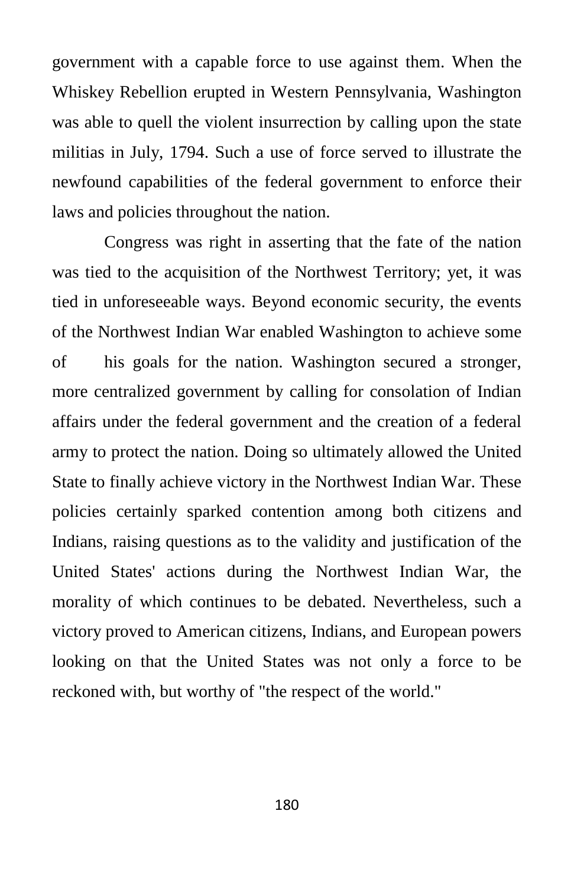government with a capable force to use against them. When the Whiskey Rebellion erupted in Western Pennsylvania, Washington was able to quell the violent insurrection by calling upon the state militias in July, 1794. Such a use of force served to illustrate the newfound capabilities of the federal government to enforce their laws and policies throughout the nation.

Congress was right in asserting that the fate of the nation was tied to the acquisition of the Northwest Territory; yet, it was tied in unforeseeable ways. Beyond economic security, the events of the Northwest Indian War enabled Washington to achieve some of his goals for the nation. Washington secured a stronger, more centralized government by calling for consolation of Indian affairs under the federal government and the creation of a federal army to protect the nation. Doing so ultimately allowed the United State to finally achieve victory in the Northwest Indian War. These policies certainly sparked contention among both citizens and Indians, raising questions as to the validity and justification of the United States' actions during the Northwest Indian War, the morality of which continues to be debated. Nevertheless, such a victory proved to American citizens, Indians, and European powers looking on that the United States was not only a force to be reckoned with, but worthy of "the respect of the world."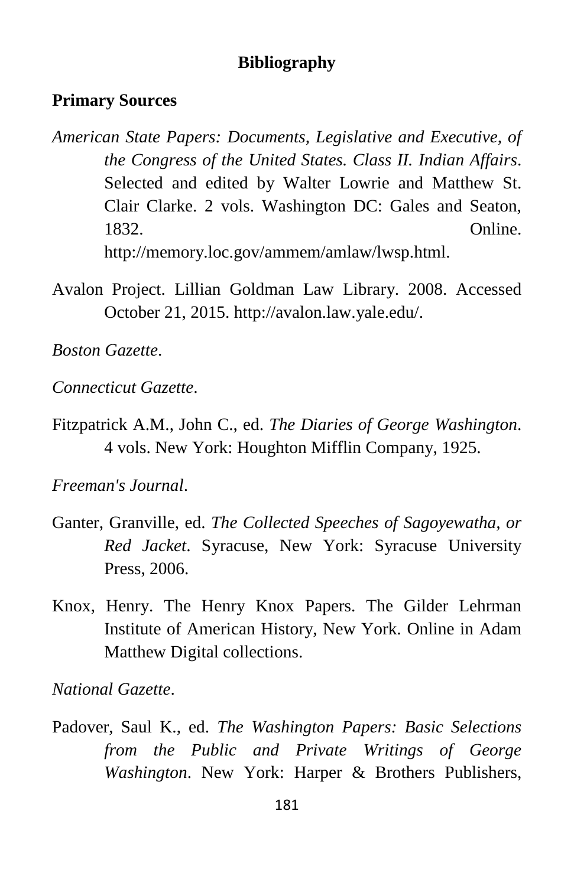#### **Bibliography**

#### **Primary Sources**

- *American State Papers: Documents, Legislative and Executive, of the Congress of the United States. Class II. Indian Affairs*. Selected and edited by Walter Lowrie and Matthew St. Clair Clarke. 2 vols. Washington DC: Gales and Seaton, 1832. Online. http://memory.loc.gov/ammem/amlaw/lwsp.html.
- Avalon Project. Lillian Goldman Law Library. 2008. Accessed October 21, 2015. http://avalon.law.yale.edu/.

*Boston Gazette*.

*Connecticut Gazette*.

Fitzpatrick A.M., John C., ed. *The Diaries of George Washington*. 4 vols. New York: Houghton Mifflin Company, 1925.

*Freeman's Journal*.

- Ganter, Granville, ed. *The Collected Speeches of Sagoyewatha, or Red Jacket*. Syracuse, New York: Syracuse University Press, 2006.
- Knox, Henry. The Henry Knox Papers. The Gilder Lehrman Institute of American History, New York. Online in Adam Matthew Digital collections.

*National Gazette*.

Padover, Saul K., ed. *The Washington Papers: Basic Selections from the Public and Private Writings of George Washington*. New York: Harper & Brothers Publishers,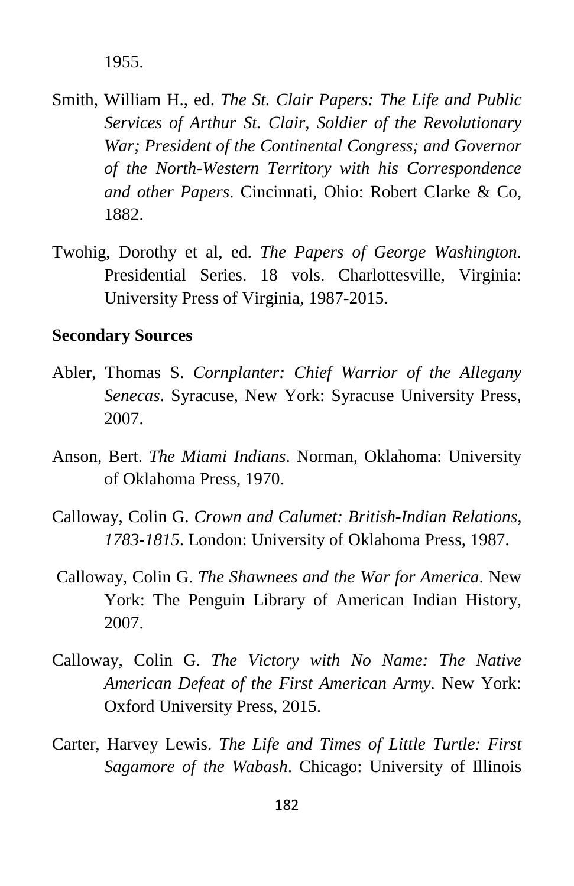1955.

- Smith, William H., ed. *The St. Clair Papers: The Life and Public Services of Arthur St. Clair, Soldier of the Revolutionary War; President of the Continental Congress; and Governor of the North-Western Territory with his Correspondence and other Papers*. Cincinnati, Ohio: Robert Clarke & Co, 1882.
- Twohig, Dorothy et al, ed. *The Papers of George Washington*. Presidential Series. 18 vols. Charlottesville, Virginia: University Press of Virginia, 1987-2015.

#### **Secondary Sources**

- Abler, Thomas S. *Cornplanter: Chief Warrior of the Allegany Senecas*. Syracuse, New York: Syracuse University Press, 2007.
- Anson, Bert. *The Miami Indians*. Norman, Oklahoma: University of Oklahoma Press, 1970.
- Calloway, Colin G. *Crown and Calumet: British-Indian Relations, 1783-1815*. London: University of Oklahoma Press, 1987.
- Calloway, Colin G. *The Shawnees and the War for America*. New York: The Penguin Library of American Indian History, 2007.
- Calloway, Colin G. *The Victory with No Name: The Native American Defeat of the First American Army*. New York: Oxford University Press, 2015.
- Carter, Harvey Lewis. *The Life and Times of Little Turtle: First Sagamore of the Wabash*. Chicago: University of Illinois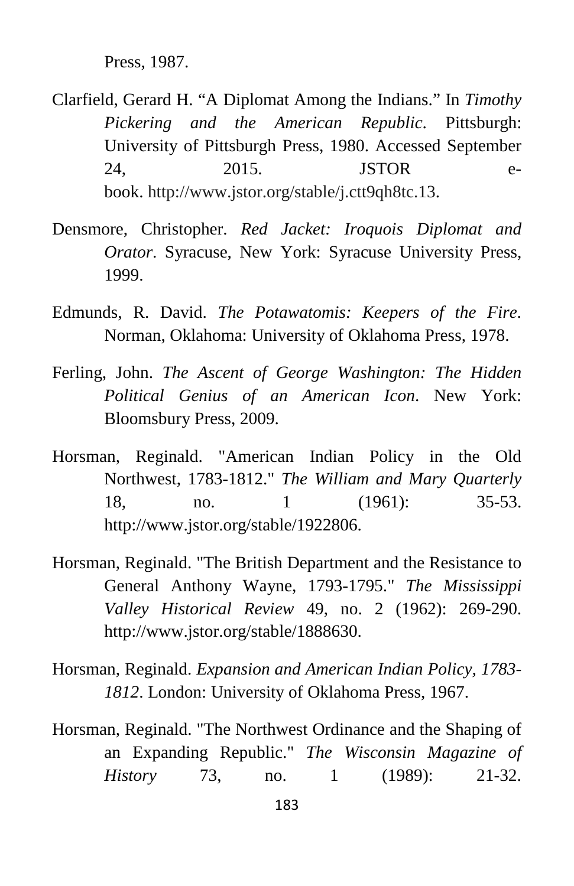Press, 1987.

- Clarfield, Gerard H. "A Diplomat Among the Indians." In *Timothy Pickering and the American Republic*. Pittsburgh: University of Pittsburgh Press, 1980. Accessed September 24, 2015. **JSTOR** ebook. http://www.jstor.org/stable/j.ctt9qh8tc.13.
- Densmore, Christopher. *Red Jacket: Iroquois Diplomat and Orator*. Syracuse, New York: Syracuse University Press, 1999.
- Edmunds, R. David. *The Potawatomis: Keepers of the Fire*. Norman, Oklahoma: University of Oklahoma Press, 1978.
- Ferling, John. *The Ascent of George Washington: The Hidden Political Genius of an American Icon*. New York: Bloomsbury Press, 2009.
- Horsman, Reginald. "American Indian Policy in the Old Northwest, 1783-1812." *The William and Mary Quarterly* 18, no. 1 (1961): 35-53. http://www.jstor.org/stable/1922806.
- Horsman, Reginald. "The British Department and the Resistance to General Anthony Wayne, 1793-1795." *The Mississippi Valley Historical Review* 49, no. 2 (1962): 269-290. http://www.jstor.org/stable/1888630.
- Horsman, Reginald. *Expansion and American Indian Policy, 1783- 1812*. London: University of Oklahoma Press, 1967.
- Horsman, Reginald. "The Northwest Ordinance and the Shaping of an Expanding Republic." *The Wisconsin Magazine of History* 73, no. 1 (1989): 21-32.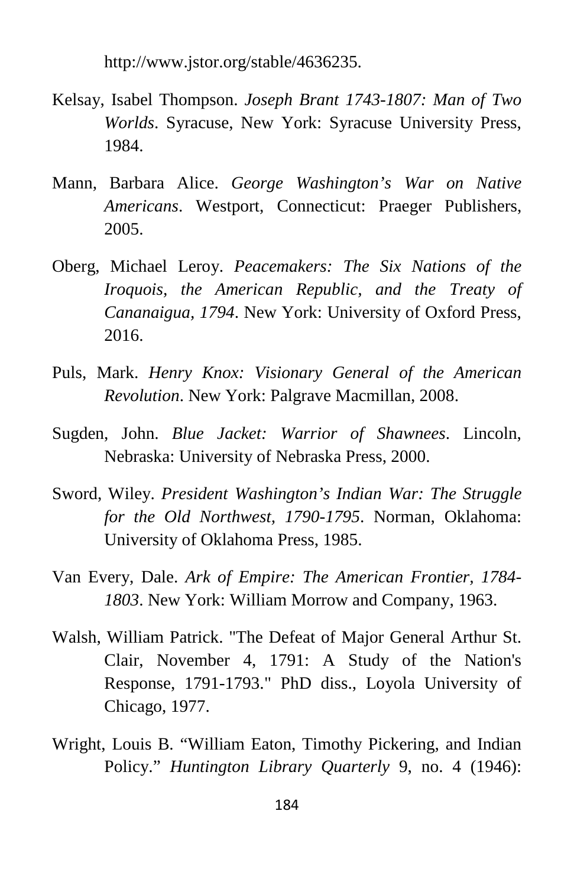http://www.jstor.org/stable/4636235.

- Kelsay, Isabel Thompson. *Joseph Brant 1743-1807: Man of Two Worlds*. Syracuse, New York: Syracuse University Press, 1984.
- Mann, Barbara Alice. *George Washington's War on Native Americans*. Westport, Connecticut: Praeger Publishers, 2005.
- Oberg, Michael Leroy. *Peacemakers: The Six Nations of the Iroquois, the American Republic, and the Treaty of Cananaigua, 1794*. New York: University of Oxford Press, 2016.
- Puls, Mark. *Henry Knox: Visionary General of the American Revolution*. New York: Palgrave Macmillan, 2008.
- Sugden, John. *Blue Jacket: Warrior of Shawnees*. Lincoln, Nebraska: University of Nebraska Press, 2000.
- Sword, Wiley. *President Washington's Indian War: The Struggle for the Old Northwest, 1790-1795*. Norman, Oklahoma: University of Oklahoma Press, 1985.
- Van Every, Dale. *Ark of Empire: The American Frontier, 1784- 1803*. New York: William Morrow and Company, 1963.
- Walsh, William Patrick. "The Defeat of Major General Arthur St. Clair, November 4, 1791: A Study of the Nation's Response, 1791-1793." PhD diss., Loyola University of Chicago, 1977.
- Wright, Louis B. "William Eaton, Timothy Pickering, and Indian Policy." *Huntington Library Quarterly* 9, no. 4 (1946):